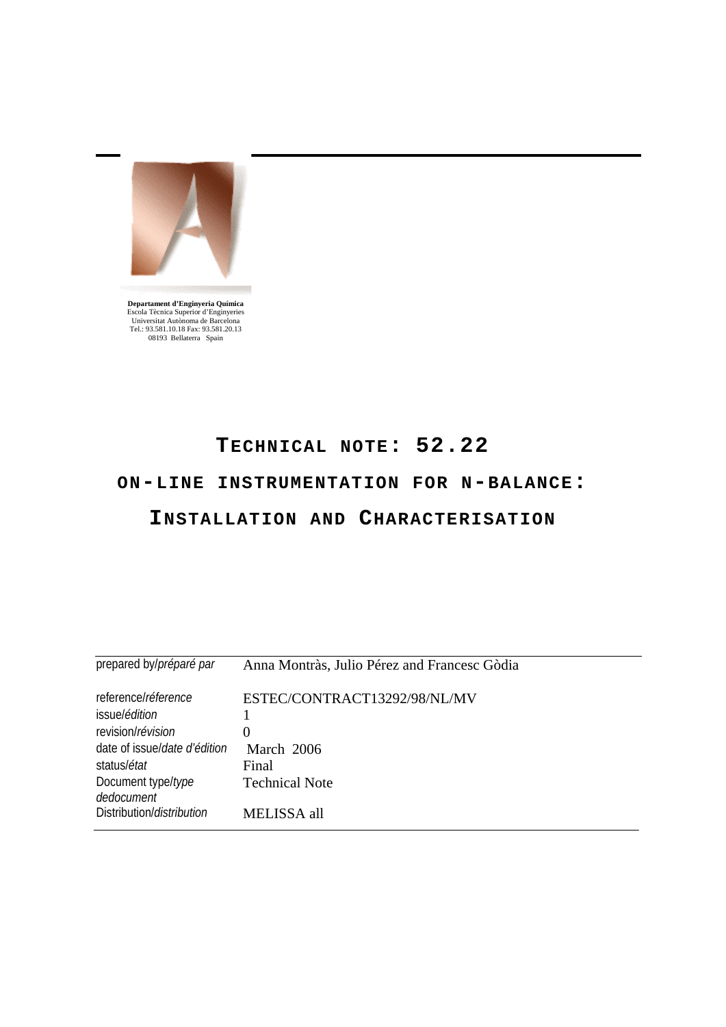

**Departament d'Enginyeria Química**<br>
Escola Tècnica Superior d'Enginyeries<br>
Universitat Autònoma de Barcelona<br>
Tel.: 93.581.10.18 Fax: 93.581.20.13<br>
08193 Bellaterra Spain

# **TECHNICAL NOTE: 52.22**

# **ON-LINE INSTRUMENTATION FOR N-BALANCE:**

## **INSTALLATION AND CHARACTERISATION**

| prepared by/ <i>préparé par</i>      | Anna Montràs, Julio Pérez and Francesc Gòdia |
|--------------------------------------|----------------------------------------------|
| reference/réference                  | ESTEC/CONTRACT13292/98/NL/MV                 |
| issue/ <i>édition</i>                |                                              |
| revision/révision                    | 0                                            |
| date of issue/ <i>date d'édition</i> | March 2006                                   |
| status/ <i>état</i>                  | Final                                        |
| Document type/type<br>dedocument     | <b>Technical Note</b>                        |
| Distribution/ <i>distribution</i>    | MELISSA all                                  |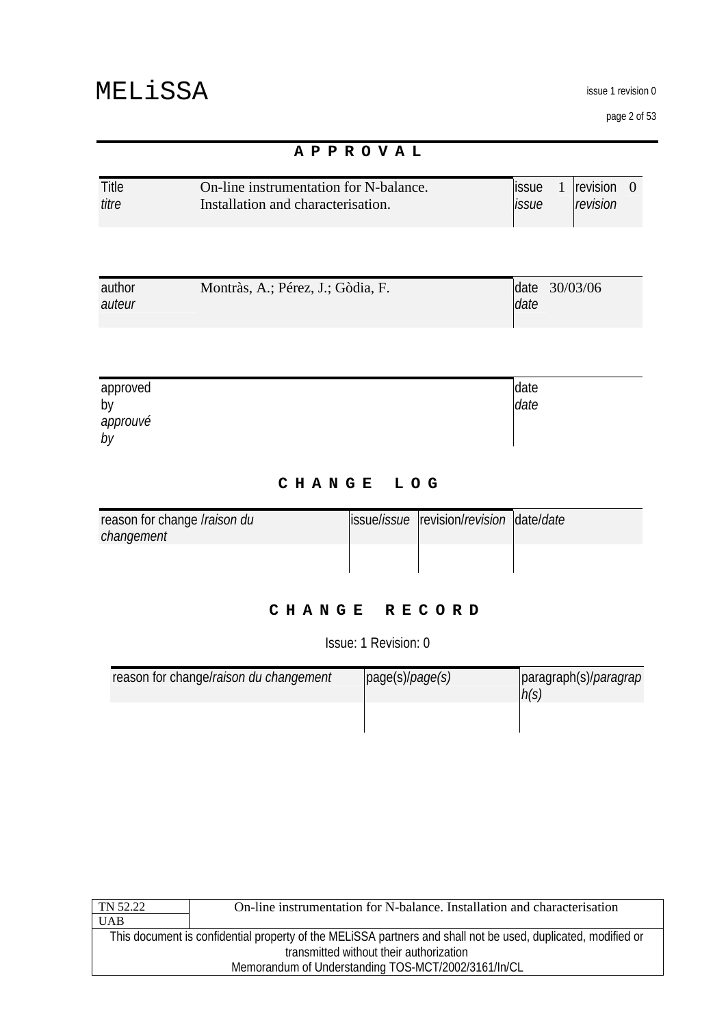issue 1 revision 0

page 2 of 53

|                  | APPROVAL                                                                     |                                                                     |
|------------------|------------------------------------------------------------------------------|---------------------------------------------------------------------|
| Title<br>titre   | On-line instrumentation for N-balance.<br>Installation and characterisation. | revision<br><i>issue</i><br>-0<br>$\mathbf{I}$<br>revision<br>issue |
|                  |                                                                              |                                                                     |
| author<br>auteur | Montràs, A.; Pérez, J.; Gòdia, F.                                            | 30/03/06<br>date<br>date                                            |
|                  |                                                                              |                                                                     |

| approved | date |
|----------|------|
| by       | date |
| approuvé |      |
| by       |      |

### **CHANGE LOG**

| reason for change <i>Iraison du</i> | ssuelissue revision/revision date/date |  |
|-------------------------------------|----------------------------------------|--|
| changement                          |                                        |  |
|                                     |                                        |  |
|                                     |                                        |  |

## **CHANGE RECORD**

Issue: 1 Revision: 0

| reason for change/raison du changement | page(s)/page(s) | paragraph(s)/ <i>paragrap</i><br>h(s) |
|----------------------------------------|-----------------|---------------------------------------|
|                                        |                 |                                       |

| On-line instrumentation for N-balance. Installation and characterisation                                      |  |
|---------------------------------------------------------------------------------------------------------------|--|
|                                                                                                               |  |
| This document is confidential property of the MELISSA partners and shall not be used, duplicated, modified or |  |
| transmitted without their authorization                                                                       |  |
| Memorandum of Understanding TOS-MCT/2002/3161/In/CL                                                           |  |
|                                                                                                               |  |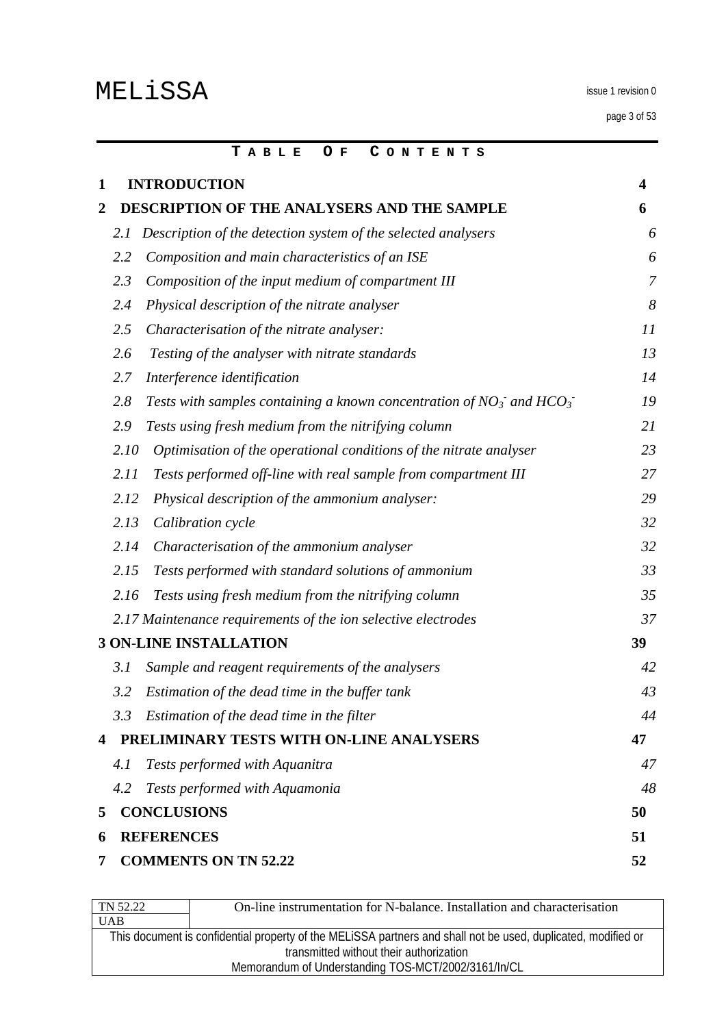page 3 of 53

|              |      | CONTENTS<br>TABLE<br>O F                                                    |                |
|--------------|------|-----------------------------------------------------------------------------|----------------|
| $\mathbf{1}$ |      | <b>INTRODUCTION</b>                                                         | 4              |
| 2            |      | <b>DESCRIPTION OF THE ANALYSERS AND THE SAMPLE</b>                          | 6              |
|              | 2.1  | Description of the detection system of the selected analysers               | 6              |
|              | 2.2  | Composition and main characteristics of an ISE                              | 6              |
|              | 2.3  | Composition of the input medium of compartment III                          | $\overline{7}$ |
|              | 2.4  | Physical description of the nitrate analyser                                | 8              |
|              | 2.5  | Characterisation of the nitrate analyser:                                   | 11             |
|              | 2.6  | Testing of the analyser with nitrate standards                              | 13             |
|              | 2.7  | Interference identification                                                 | 14             |
|              | 2.8  | Tests with samples containing a known concentration of $NO_3$ and $HCO_3$ . | 19             |
|              | 2.9  | Tests using fresh medium from the nitrifying column                         | 21             |
|              | 2.10 | Optimisation of the operational conditions of the nitrate analyser          | 23             |
|              | 2.11 | Tests performed off-line with real sample from compartment III              | 27             |
|              | 2.12 | Physical description of the ammonium analyser:                              | 29             |
|              | 2.13 | Calibration cycle                                                           | 32             |
|              | 2.14 | Characterisation of the ammonium analyser                                   | 32             |
|              | 2.15 | Tests performed with standard solutions of ammonium                         | 33             |
|              | 2.16 | Tests using fresh medium from the nitrifying column                         | 35             |
|              |      | 2.17 Maintenance requirements of the ion selective electrodes               | 37             |
|              |      | <b>3 ON-LINE INSTALLATION</b>                                               | 39             |
|              | 3.1  | Sample and reagent requirements of the analysers                            | 42             |
|              | 3.2  | Estimation of the dead time in the buffer tank                              | 43             |
|              | 3.3  | Estimation of the dead time in the filter                                   | 44             |
| 4            |      | PRELIMINARY TESTS WITH ON-LINE ANALYSERS                                    | 47             |
|              | 4.1  | Tests performed with Aquanitra                                              | 47             |
|              | 4.2  | Tests performed with Aquamonia                                              | 48             |
| 5            |      | <b>CONCLUSIONS</b>                                                          | 50             |
| 6            |      | <b>REFERENCES</b>                                                           | 51             |
| 7            |      | <b>COMMENTS ON TN 52.22</b>                                                 | 52             |

| TN 52.22                                                                                                      | On-line instrumentation for N-balance. Installation and characterisation |
|---------------------------------------------------------------------------------------------------------------|--------------------------------------------------------------------------|
| <b>UAB</b>                                                                                                    |                                                                          |
| This document is confidential property of the MELISSA partners and shall not be used, duplicated, modified or |                                                                          |
| transmitted without their authorization                                                                       |                                                                          |
| Memorandum of Understanding TOS-MCT/2002/3161/In/CL                                                           |                                                                          |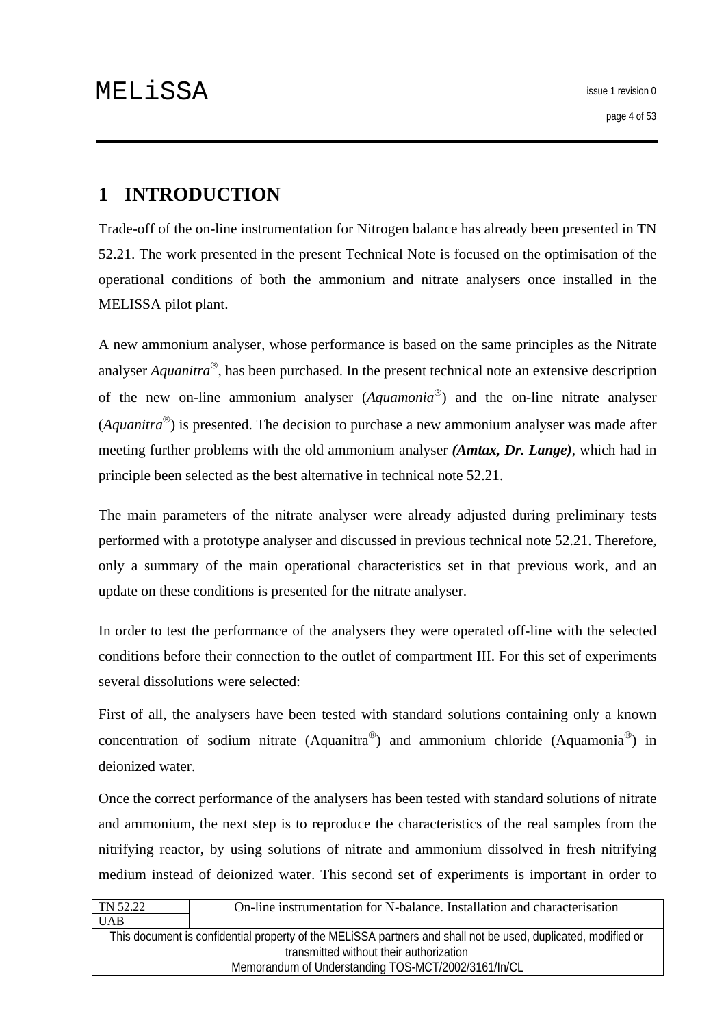# <span id="page-3-0"></span>**1 INTRODUCTION**

Trade-off of the on-line instrumentation for Nitrogen balance has already been presented in TN 52.21. The work presented in the present Technical Note is focused on the optimisation of the operational conditions of both the ammonium and nitrate analysers once installed in the MELISSA pilot plant.

A new ammonium analyser, whose performance is based on the same principles as the Nitrate analyser *Aquanitra*®, has been purchased. In the present technical note an extensive description of the new on-line ammonium analyser (*Aquamonia*®) and the on-line nitrate analyser (*Aquanitra*®) is presented. The decision to purchase a new ammonium analyser was made after meeting further problems with the old ammonium analyser *(Amtax, Dr. Lange)*, which had in principle been selected as the best alternative in technical note 52.21.

The main parameters of the nitrate analyser were already adjusted during preliminary tests performed with a prototype analyser and discussed in previous technical note 52.21. Therefore, only a summary of the main operational characteristics set in that previous work, and an update on these conditions is presented for the nitrate analyser.

In order to test the performance of the analysers they were operated off-line with the selected conditions before their connection to the outlet of compartment III. For this set of experiments several dissolutions were selected:

First of all, the analysers have been tested with standard solutions containing only a known concentration of sodium nitrate (Aquanitra<sup>®</sup>) and ammonium chloride (Aquamonia<sup>®</sup>) in deionized water.

Once the correct performance of the analysers has been tested with standard solutions of nitrate and ammonium, the next step is to reproduce the characteristics of the real samples from the nitrifying reactor, by using solutions of nitrate and ammonium dissolved in fresh nitrifying medium instead of deionized water. This second set of experiments is important in order to

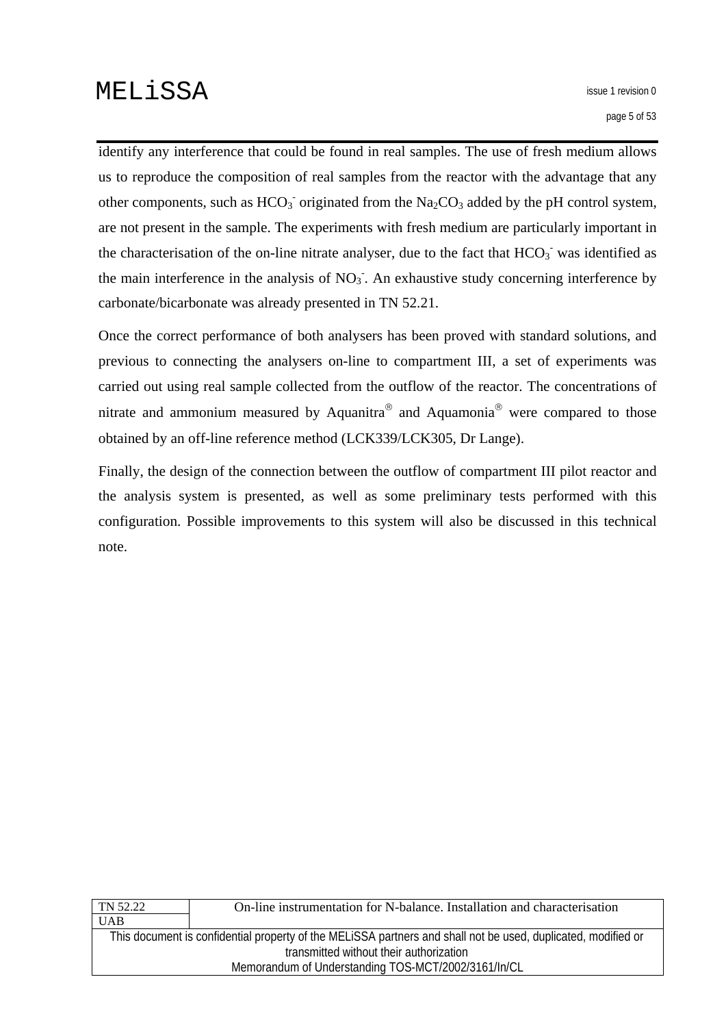identify any interference that could be found in real samples. The use of fresh medium allows us to reproduce the composition of real samples from the reactor with the advantage that any other components, such as  $HCO<sub>3</sub>$  originated from the Na<sub>2</sub>CO<sub>3</sub> added by the pH control system, are not present in the sample. The experiments with fresh medium are particularly important in the characterisation of the on-line nitrate analyser, due to the fact that  $HCO_3^-$  was identified as the main interference in the analysis of  $NO<sub>3</sub>$ . An exhaustive study concerning interference by carbonate/bicarbonate was already presented in TN 52.21.

Once the correct performance of both analysers has been proved with standard solutions, and previous to connecting the analysers on-line to compartment III, a set of experiments was carried out using real sample collected from the outflow of the reactor. The concentrations of nitrate and ammonium measured by Aquanitra<sup>®</sup> and Aquamonia<sup>®</sup> were compared to those obtained by an off-line reference method (LCK339/LCK305, Dr Lange).

Finally, the design of the connection between the outflow of compartment III pilot reactor and the analysis system is presented, as well as some preliminary tests performed with this configuration. Possible improvements to this system will also be discussed in this technical note.

| On-line instrumentation for N-balance. Installation and characterisation                                      |  |
|---------------------------------------------------------------------------------------------------------------|--|
|                                                                                                               |  |
| This document is confidential property of the MELISSA partners and shall not be used, duplicated, modified or |  |
| transmitted without their authorization                                                                       |  |
| Memorandum of Understanding TOS-MCT/2002/3161/In/CL                                                           |  |
|                                                                                                               |  |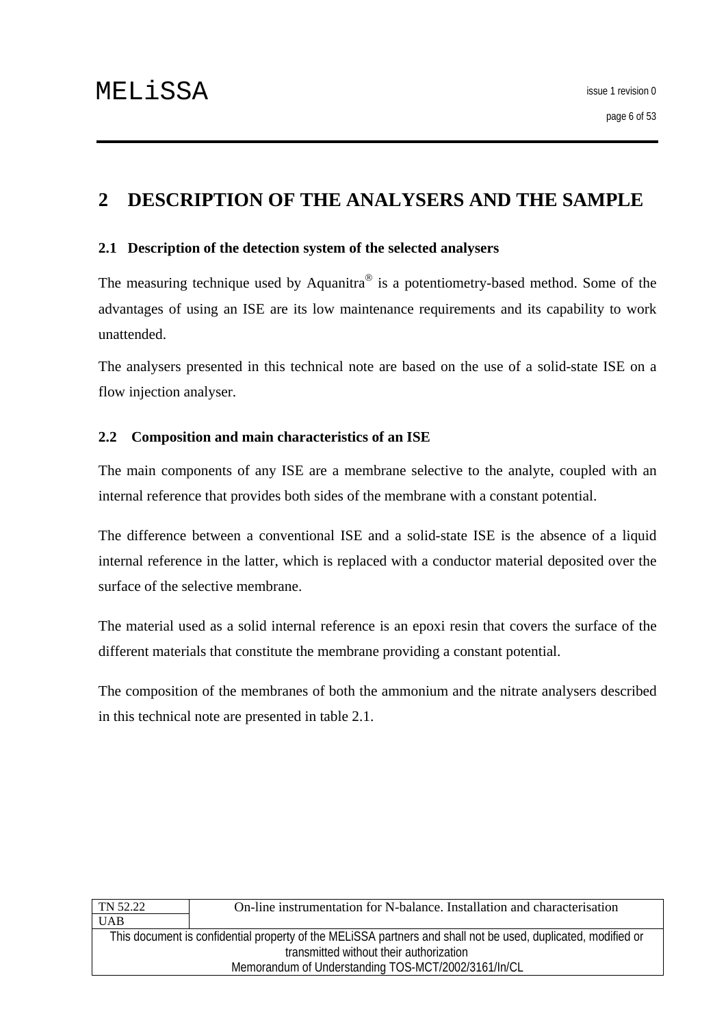# <span id="page-5-0"></span>**2 DESCRIPTION OF THE ANALYSERS AND THE SAMPLE**

#### **2.1 Description of the detection system of the selected analysers**

The measuring technique used by Aquanitra<sup>®</sup> is a potentiometry-based method. Some of the advantages of using an ISE are its low maintenance requirements and its capability to work unattended.

The analysers presented in this technical note are based on the use of a solid-state ISE on a flow injection analyser.

#### **2.2 Composition and main characteristics of an ISE**

The main components of any ISE are a membrane selective to the analyte, coupled with an internal reference that provides both sides of the membrane with a constant potential.

The difference between a conventional ISE and a solid-state ISE is the absence of a liquid internal reference in the latter, which is replaced with a conductor material deposited over the surface of the selective membrane.

The material used as a solid internal reference is an epoxi resin that covers the surface of the different materials that constitute the membrane providing a constant potential.

The composition of the membranes of both the ammonium and the nitrate analysers described in this technical note are presented in table 2.1.

| On-line instrumentation for N-balance. Installation and characterisation                                      |  |
|---------------------------------------------------------------------------------------------------------------|--|
|                                                                                                               |  |
| This document is confidential property of the MELISSA partners and shall not be used, duplicated, modified or |  |
| transmitted without their authorization                                                                       |  |
| Memorandum of Understanding TOS-MCT/2002/3161/In/CL                                                           |  |
|                                                                                                               |  |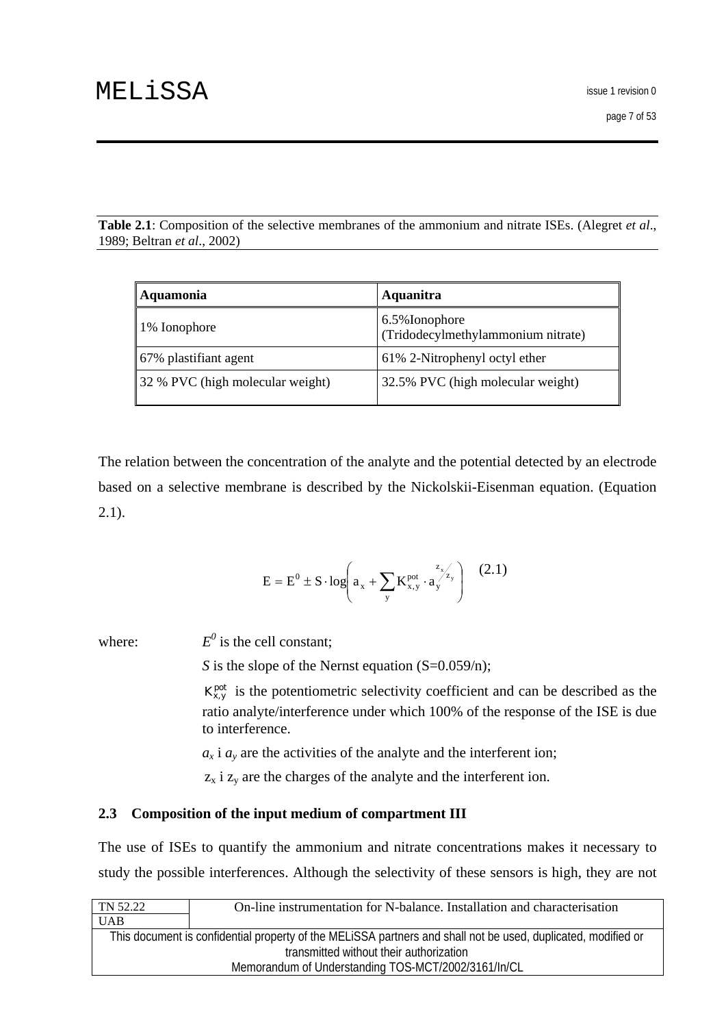<span id="page-6-0"></span>**Table 2.1**: Composition of the selective membranes of the ammonium and nitrate ISEs. (Alegret *et al*., 1989; Beltran *et al*., 2002)

| Aquamonia                        | Aquanitra                                            |
|----------------------------------|------------------------------------------------------|
| 1% Ionophore                     | 6.5% Ionophore<br>(Tridodecylmethylammonium nitrate) |
| 67% plastifiant agent            | 61% 2-Nitrophenyl octyl ether                        |
| 32 % PVC (high molecular weight) | 32.5% PVC (high molecular weight)                    |

The relation between the concentration of the analyte and the potential detected by an electrode based on a selective membrane is described by the Nickolskii-Eisenman equation. (Equation 2.1).

$$
E = E^{0} \pm S \cdot log\left(a_{x} + \sum_{y} K_{x,y}^{pot} \cdot a_{y}^{\frac{z_{x'}}{z_{y}}}\right) \quad (2.1)
$$

where:

 $E^0$  is the cell constant;

*S* is the slope of the Nernst equation (S=0.059/n);

 $K_{x,y}^{pot}$  is the potentiometric selectivity coefficient and can be described as the ratio analyte/interference under which 100% of the response of the ISE is due to interference.

 $a_x$  *i*  $a_y$  are the activities of the analyte and the interferent ion;

 $z_x$  i  $z_y$  are the charges of the analyte and the interferent ion.

### **2.3 Composition of the input medium of compartment III**

The use of ISEs to quantify the ammonium and nitrate concentrations makes it necessary to study the possible interferences. Although the selectivity of these sensors is high, they are not

| TN 52.22                                                                                                      | On-line instrumentation for N-balance. Installation and characterisation |
|---------------------------------------------------------------------------------------------------------------|--------------------------------------------------------------------------|
| <b>UAB</b>                                                                                                    |                                                                          |
| This document is confidential property of the MELISSA partners and shall not be used, duplicated, modified or |                                                                          |
| transmitted without their authorization                                                                       |                                                                          |
| Memorandum of Understanding TOS-MCT/2002/3161/In/CL                                                           |                                                                          |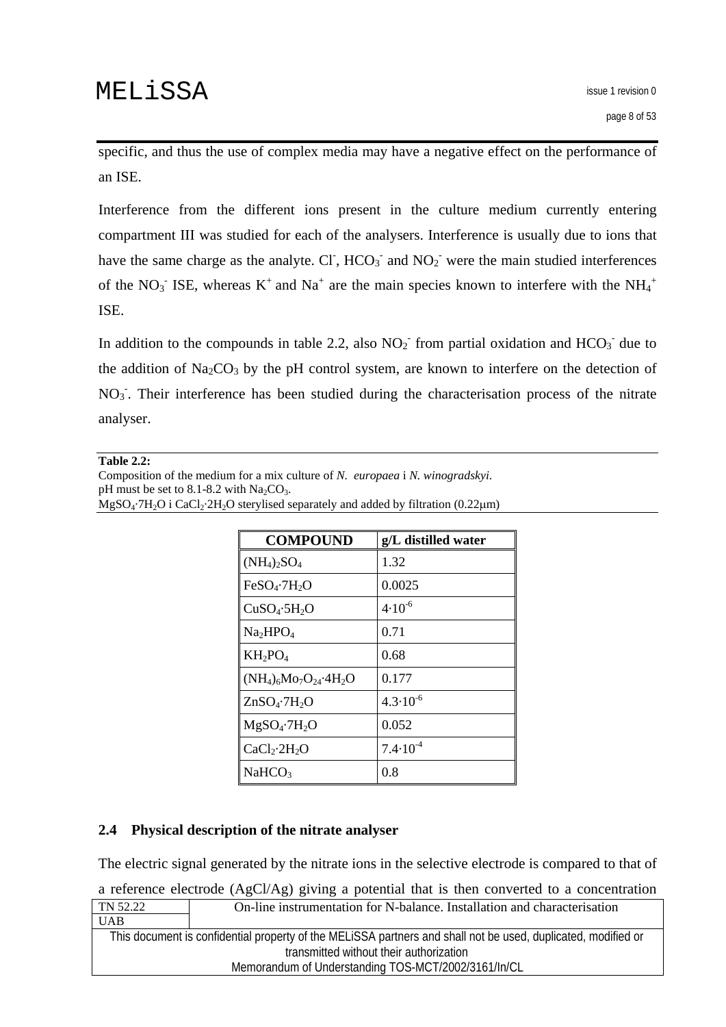<span id="page-7-0"></span>specific, and thus the use of complex media may have a negative effect on the performance of an ISE.

Interference from the different ions present in the culture medium currently entering compartment III was studied for each of the analysers. Interference is usually due to ions that have the same charge as the analyte. CI,  $HCO_3$  and  $NO_2$  were the main studied interferences of the NO<sub>3</sub><sup>-</sup> ISE, whereas K<sup>+</sup> and Na<sup>+</sup> are the main species known to interfere with the NH<sub>4</sub><sup>+</sup> ISE.

In addition to the compounds in table 2.2, also  $NO<sub>2</sub>$ <sup>-</sup> from partial oxidation and  $HCO<sub>3</sub>$ <sup>-</sup> due to the addition of  $Na<sub>2</sub>CO<sub>3</sub>$  by the pH control system, are known to interfere on the detection of  $NO<sub>3</sub>$ . Their interference has been studied during the characterisation process of the nitrate analyser.

#### **Table 2.2:**

Composition of the medium for a mix culture of *N. europaea* i *N. winogradskyi*. pH must be set to 8.1-8.2 with  $Na<sub>2</sub>CO<sub>3</sub>$ .  $MgSO_4·7H_2O$  i CaCl<sub>2</sub>·2H<sub>2</sub>O sterylised separately and added by filtration (0.22 $\mu$ m)

| <b>COMPOUND</b>                      | g/L distilled water |
|--------------------------------------|---------------------|
| $(NH_4)_2SO_4$                       | 1.32                |
| FeSO <sub>4</sub> ·7H <sub>2</sub> O | 0.0025              |
| CuSO <sub>4</sub> ·5H <sub>2</sub> O | $4.10^{-6}$         |
| Na <sub>2</sub> HPO <sub>4</sub>     | 0.71                |
| $KH_2PO_4$                           | 0.68                |
| $(NH_4)_6Mo_7O_{24}.4H_2O$           | 0.177               |
| $ZnSO_4$ -7H <sub>2</sub> O          | $4.3 \cdot 10^{-6}$ |
| $MgSO_4.7H_2O$                       | 0.052               |
| CaCl <sub>2</sub> ·2H <sub>2</sub> O | $7.4 \cdot 10^{-4}$ |
| NaHCO <sub>3</sub>                   | 0.8                 |

### **2.4 Physical description of the nitrate analyser**

The electric signal generated by the nitrate ions in the selective electrode is compared to that of

a reference electrode (AgCl/Ag) giving a potential that is then converted to a concentration

| TN 52.22   | On-line instrumentation for N-balance. Installation and characterisation                                                                                 |
|------------|----------------------------------------------------------------------------------------------------------------------------------------------------------|
| <b>UAB</b> |                                                                                                                                                          |
|            | This document is confidential property of the MELISSA partners and shall not be used, duplicated, modified or<br>transmitted without their authorization |
|            | Memorandum of Understanding TOS-MCT/2002/3161/In/CL                                                                                                      |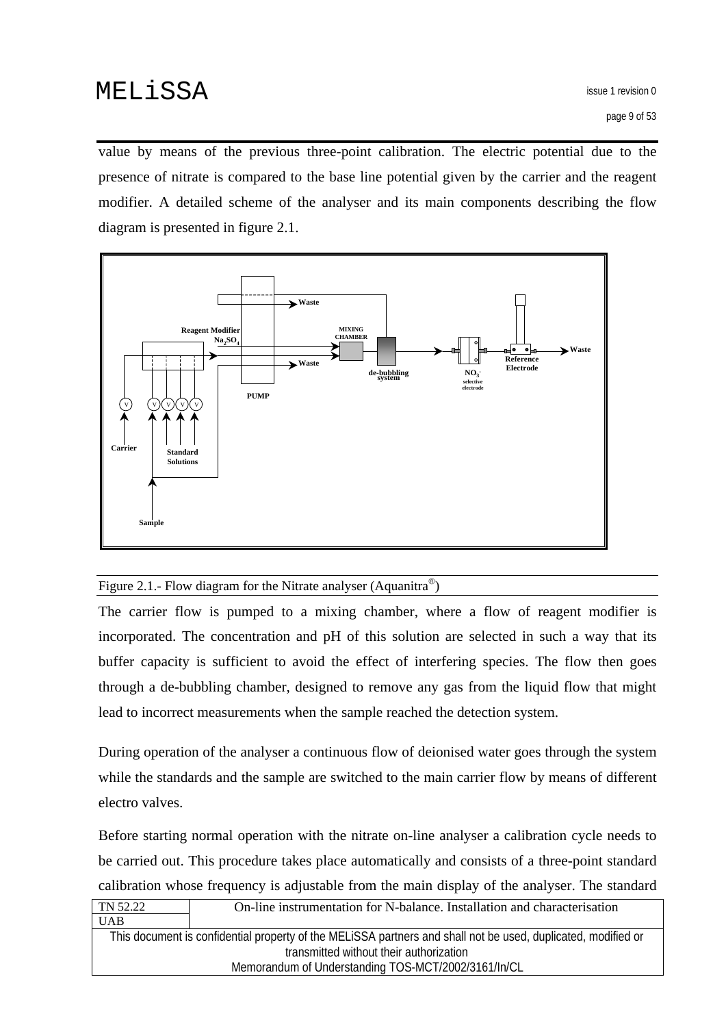value by means of the previous three-point calibration. The electric potential due to the presence of nitrate is compared to the base line potential given by the carrier and the reagent modifier. A detailed scheme of the analyser and its main components describing the flow diagram is presented in figure 2.1.



### Figure 2.1.- Flow diagram for the Nitrate analyser (Aquanitra<sup>®</sup>)

The carrier flow is pumped to a mixing chamber, where a flow of reagent modifier is incorporated. The concentration and pH of this solution are selected in such a way that its buffer capacity is sufficient to avoid the effect of interfering species. The flow then goes through a de-bubbling chamber, designed to remove any gas from the liquid flow that might lead to incorrect measurements when the sample reached the detection system.

During operation of the analyser a continuous flow of deionised water goes through the system while the standards and the sample are switched to the main carrier flow by means of different electro valves.

Before starting normal operation with the nitrate on-line analyser a calibration cycle needs to be carried out. This procedure takes place automatically and consists of a three-point standard calibration whose frequency is adjustable from the main display of the analyser. The standard

| TN 52.22                                | On-line instrumentation for N-balance. Installation and characterisation                                      |  |  |  |
|-----------------------------------------|---------------------------------------------------------------------------------------------------------------|--|--|--|
| <b>UAB</b>                              |                                                                                                               |  |  |  |
|                                         | This document is confidential property of the MELISSA partners and shall not be used, duplicated, modified or |  |  |  |
| transmitted without their authorization |                                                                                                               |  |  |  |
|                                         | Memorandum of Understanding TOS-MCT/2002/3161/In/CL                                                           |  |  |  |
|                                         |                                                                                                               |  |  |  |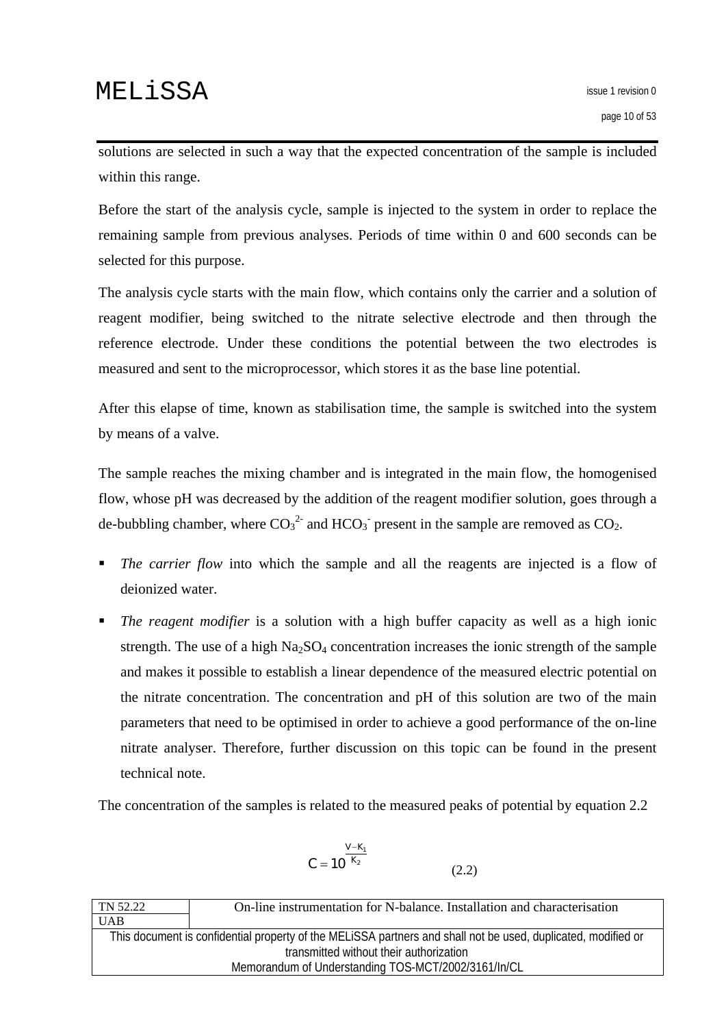solutions are selected in such a way that the expected concentration of the sample is included within this range.

Before the start of the analysis cycle, sample is injected to the system in order to replace the remaining sample from previous analyses. Periods of time within 0 and 600 seconds can be selected for this purpose.

The analysis cycle starts with the main flow, which contains only the carrier and a solution of reagent modifier, being switched to the nitrate selective electrode and then through the reference electrode. Under these conditions the potential between the two electrodes is measured and sent to the microprocessor, which stores it as the base line potential.

After this elapse of time, known as stabilisation time, the sample is switched into the system by means of a valve.

The sample reaches the mixing chamber and is integrated in the main flow, the homogenised flow, whose pH was decreased by the addition of the reagent modifier solution, goes through a de-bubbling chamber, where  $CO_3^2$  and  $HCO_3$  present in the sample are removed as  $CO_2$ .

- **The carrier flow into which the sample and all the reagents are injected is a flow of** deionized water.
- *The reagent modifier* is a solution with a high buffer capacity as well as a high ionic strength. The use of a high  $Na<sub>2</sub>SO<sub>4</sub>$  concentration increases the ionic strength of the sample and makes it possible to establish a linear dependence of the measured electric potential on the nitrate concentration. The concentration and pH of this solution are two of the main parameters that need to be optimised in order to achieve a good performance of the on-line nitrate analyser. Therefore, further discussion on this topic can be found in the present technical note.

The concentration of the samples is related to the measured peaks of potential by equation 2.2

$$
C = 10^{\frac{V-K_1}{K_2}}
$$
 (2.2)

| TN 52.22                                            | On-line instrumentation for N-balance. Installation and characterisation                                      |  |  |  |  |  |
|-----------------------------------------------------|---------------------------------------------------------------------------------------------------------------|--|--|--|--|--|
| <b>UAB</b>                                          |                                                                                                               |  |  |  |  |  |
|                                                     | This document is confidential property of the MELISSA partners and shall not be used, duplicated, modified or |  |  |  |  |  |
| transmitted without their authorization             |                                                                                                               |  |  |  |  |  |
| Memorandum of Understanding TOS-MCT/2002/3161/In/CL |                                                                                                               |  |  |  |  |  |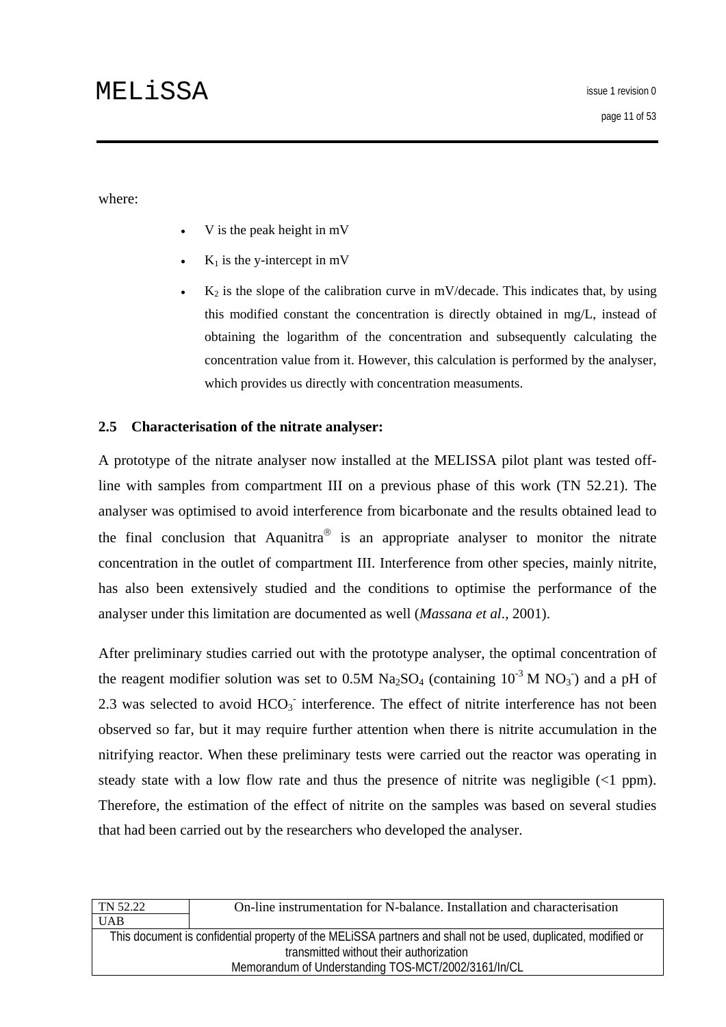<span id="page-10-0"></span>where:

- V is the peak height in mV
- $K_1$  is the y-intercept in mV
- $K<sub>2</sub>$  is the slope of the calibration curve in mV/decade. This indicates that, by using this modified constant the concentration is directly obtained in mg/L, instead of obtaining the logarithm of the concentration and subsequently calculating the concentration value from it. However, this calculation is performed by the analyser, which provides us directly with concentration measuments.

### **2.5 Characterisation of the nitrate analyser:**

A prototype of the nitrate analyser now installed at the MELISSA pilot plant was tested offline with samples from compartment III on a previous phase of this work (TN 52.21). The analyser was optimised to avoid interference from bicarbonate and the results obtained lead to the final conclusion that Aquanitra<sup>®</sup> is an appropriate analyser to monitor the nitrate concentration in the outlet of compartment III. Interference from other species, mainly nitrite, has also been extensively studied and the conditions to optimise the performance of the analyser under this limitation are documented as well (*Massana et al*., 2001).

After preliminary studies carried out with the prototype analyser, the optimal concentration of the reagent modifier solution was set to 0.5M Na<sub>2</sub>SO<sub>4</sub> (containing  $10^{-3}$  M NO<sub>3</sub>) and a pH of 2.3 was selected to avoid  $HCO<sub>3</sub>$  interference. The effect of nitrite interference has not been observed so far, but it may require further attention when there is nitrite accumulation in the nitrifying reactor. When these preliminary tests were carried out the reactor was operating in steady state with a low flow rate and thus the presence of nitrite was negligible  $\left(\langle 1 \text{ ppm}\right)$ . Therefore, the estimation of the effect of nitrite on the samples was based on several studies that had been carried out by the researchers who developed the analyser.

| On-line instrumentation for N-balance. Installation and characterisation                                      |  |  |  |  |
|---------------------------------------------------------------------------------------------------------------|--|--|--|--|
|                                                                                                               |  |  |  |  |
| This document is confidential property of the MELISSA partners and shall not be used, duplicated, modified or |  |  |  |  |
| transmitted without their authorization                                                                       |  |  |  |  |
| Memorandum of Understanding TOS-MCT/2002/3161/In/CL                                                           |  |  |  |  |
|                                                                                                               |  |  |  |  |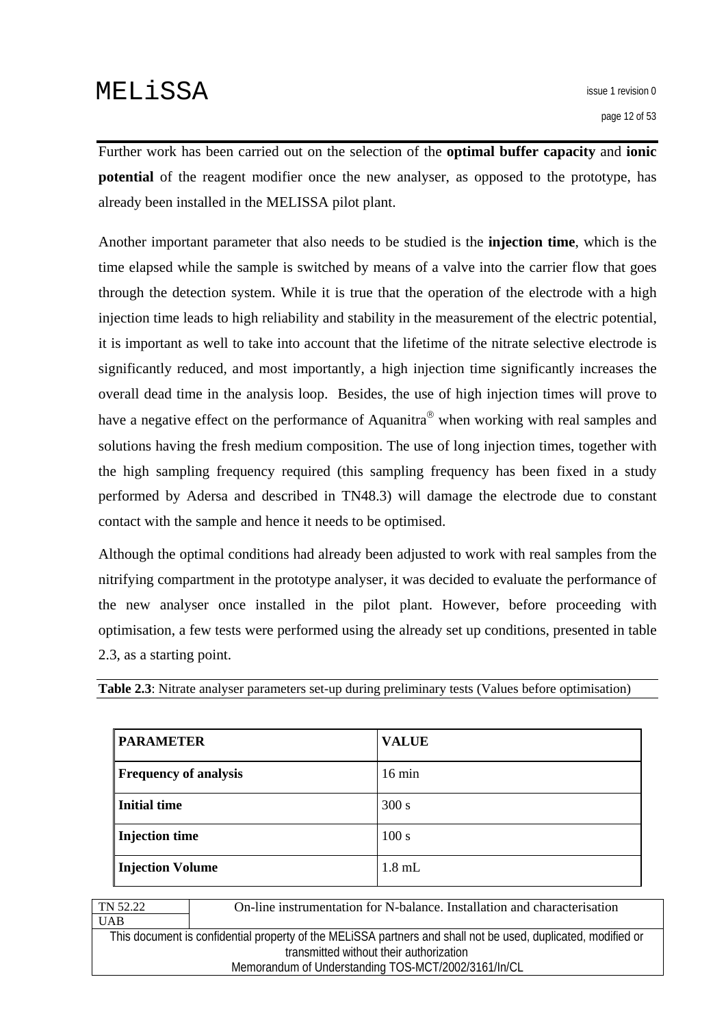Further work has been carried out on the selection of the **optimal buffer capacity** and **ionic potential** of the reagent modifier once the new analyser, as opposed to the prototype, has already been installed in the MELISSA pilot plant.

Another important parameter that also needs to be studied is the **injection time**, which is the time elapsed while the sample is switched by means of a valve into the carrier flow that goes through the detection system. While it is true that the operation of the electrode with a high injection time leads to high reliability and stability in the measurement of the electric potential, it is important as well to take into account that the lifetime of the nitrate selective electrode is significantly reduced, and most importantly, a high injection time significantly increases the overall dead time in the analysis loop. Besides, the use of high injection times will prove to have a negative effect on the performance of Aquanitra<sup>®</sup> when working with real samples and solutions having the fresh medium composition. The use of long injection times, together with the high sampling frequency required (this sampling frequency has been fixed in a study performed by Adersa and described in TN48.3) will damage the electrode due to constant contact with the sample and hence it needs to be optimised.

Although the optimal conditions had already been adjusted to work with real samples from the nitrifying compartment in the prototype analyser, it was decided to evaluate the performance of the new analyser once installed in the pilot plant. However, before proceeding with optimisation, a few tests were performed using the already set up conditions, presented in table 2.3, as a starting point.

|  |  |  |  |  | Table 2.3: Nitrate analyser parameters set-up during preliminary tests (Values before optimisation) |  |
|--|--|--|--|--|-----------------------------------------------------------------------------------------------------|--|
|  |  |  |  |  |                                                                                                     |  |

| <b>PARAMETER</b>             | <b>VALUE</b>     |
|------------------------------|------------------|
| <b>Frequency of analysis</b> | $16 \text{ min}$ |
| Initial time                 | 300 s            |
| Injection time               | 100 s            |
| <b>Injection Volume</b>      | $1.8$ mL         |

| <b>UAB</b>                                                                                                    |  |  |  |  |
|---------------------------------------------------------------------------------------------------------------|--|--|--|--|
| This document is confidential property of the MELISSA partners and shall not be used, duplicated, modified or |  |  |  |  |
| transmitted without their authorization                                                                       |  |  |  |  |
| Memorandum of Understanding TOS-MCT/2002/3161/In/CL                                                           |  |  |  |  |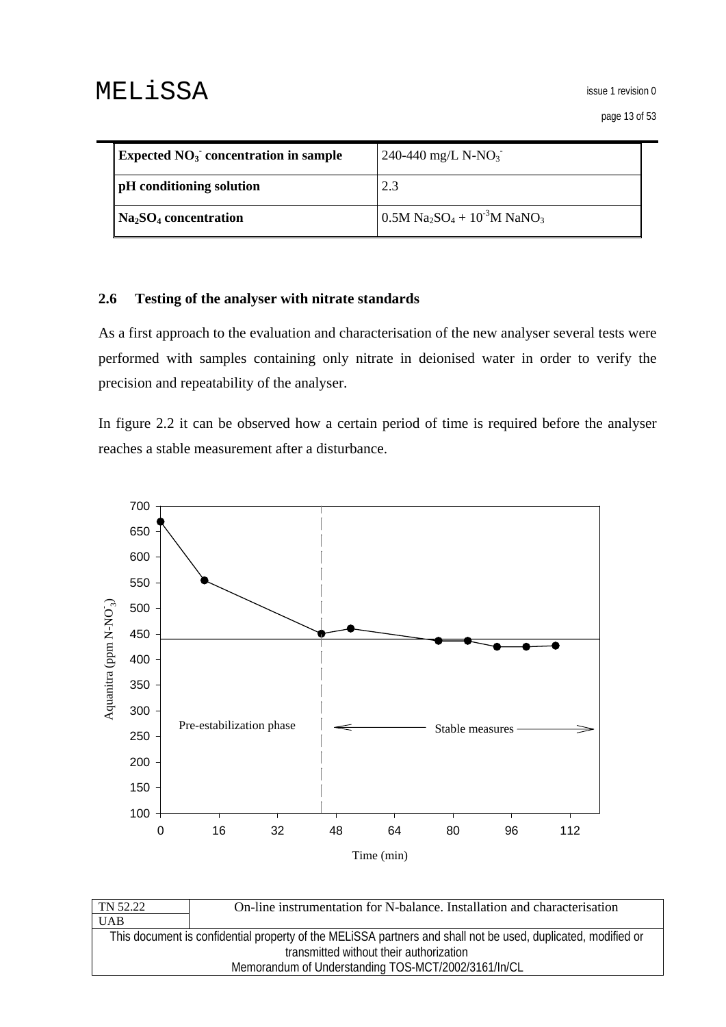<span id="page-12-0"></span>

| <b>Expected NO<sub>3</sub></b> concentration in sample | 240-440 mg/L N-NO <sub>3</sub>                                                |
|--------------------------------------------------------|-------------------------------------------------------------------------------|
| <b>pH</b> conditioning solution                        | 2.3                                                                           |
| $\mathbf{Na}_2\mathbf{SO}_4$ concentration             | $0.5M$ Na <sub>2</sub> SO <sub>4</sub> + 10 <sup>-3</sup> M NaNO <sub>3</sub> |

### **2.6 Testing of the analyser with nitrate standards**

As a first approach to the evaluation and characterisation of the new analyser several tests were performed with samples containing only nitrate in deionised water in order to verify the precision and repeatability of the analyser.

In figure 2.2 it can be observed how a certain period of time is required before the analyser reaches a stable measurement after a disturbance.



| TN 52.22                                                                                                      | On-line instrumentation for N-balance. Installation and characterisation |  |  |  |
|---------------------------------------------------------------------------------------------------------------|--------------------------------------------------------------------------|--|--|--|
| <b>UAB</b>                                                                                                    |                                                                          |  |  |  |
| This document is confidential property of the MELISSA partners and shall not be used, duplicated, modified or |                                                                          |  |  |  |
| transmitted without their authorization                                                                       |                                                                          |  |  |  |
| Memorandum of Understanding TOS-MCT/2002/3161/In/CL                                                           |                                                                          |  |  |  |
|                                                                                                               |                                                                          |  |  |  |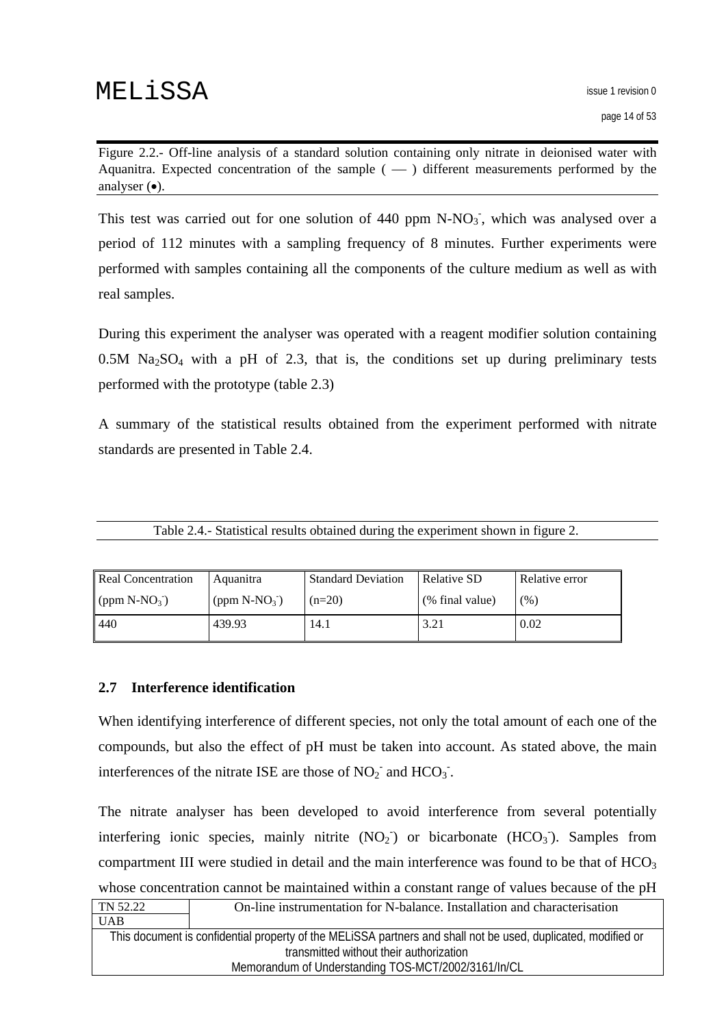<span id="page-13-0"></span>Figure 2.2.- Off-line analysis of a standard solution containing only nitrate in deionised water with Aquanitra. Expected concentration of the sample  $($   $)$  different measurements performed by the analyser (•).

This test was carried out for one solution of  $440$  ppm N-NO<sub>3</sub><sup>-</sup>, which was analysed over a period of 112 minutes with a sampling frequency of 8 minutes. Further experiments were performed with samples containing all the components of the culture medium as well as with real samples.

During this experiment the analyser was operated with a reagent modifier solution containing  $0.5M$  Na<sub>2</sub>SO<sub>4</sub> with a pH of 2.3, that is, the conditions set up during preliminary tests performed with the prototype (table 2.3)

A summary of the statistical results obtained from the experiment performed with nitrate standards are presented in Table 2.4.

| Table 2.4.- Statistical results obtained during the experiment shown in figure 2. |  |  |  |
|-----------------------------------------------------------------------------------|--|--|--|
|                                                                                   |  |  |  |

| <b>Real Concentration</b> | Aquanitra         | <b>Standard Deviation</b> | Relative SD     | Relative error |
|---------------------------|-------------------|---------------------------|-----------------|----------------|
| (ppm $N-NO_3$ )           | (ppm $N-NO_3^-$ ) | $(n=20)$                  | (% final value) | (%)            |
| 440                       | 439.93            | 14.1                      | 3.21            | 0.02           |

#### **2.7 Interference identification**

When identifying interference of different species, not only the total amount of each one of the compounds, but also the effect of pH must be taken into account. As stated above, the main interferences of the nitrate ISE are those of  $NO<sub>2</sub>$ <sup>-</sup> and  $HCO<sub>3</sub>$ <sup>-</sup>.

The nitrate analyser has been developed to avoid interference from several potentially interfering ionic species, mainly nitrite  $(NO<sub>2</sub>)$  or bicarbonate  $(HCO<sub>3</sub>)$ . Samples from compartment III were studied in detail and the main interference was found to be that of  $HCO<sub>3</sub>$ whose concentration cannot be maintained within a constant range of values because of the pH

| TN 52.22                                                                                                      | On-line instrumentation for N-balance. Installation and characterisation |  |  |
|---------------------------------------------------------------------------------------------------------------|--------------------------------------------------------------------------|--|--|
| <b>UAB</b>                                                                                                    |                                                                          |  |  |
| This document is confidential property of the MELISSA partners and shall not be used, duplicated, modified or |                                                                          |  |  |
| transmitted without their authorization                                                                       |                                                                          |  |  |
| Memorandum of Understanding TOS-MCT/2002/3161/In/CL                                                           |                                                                          |  |  |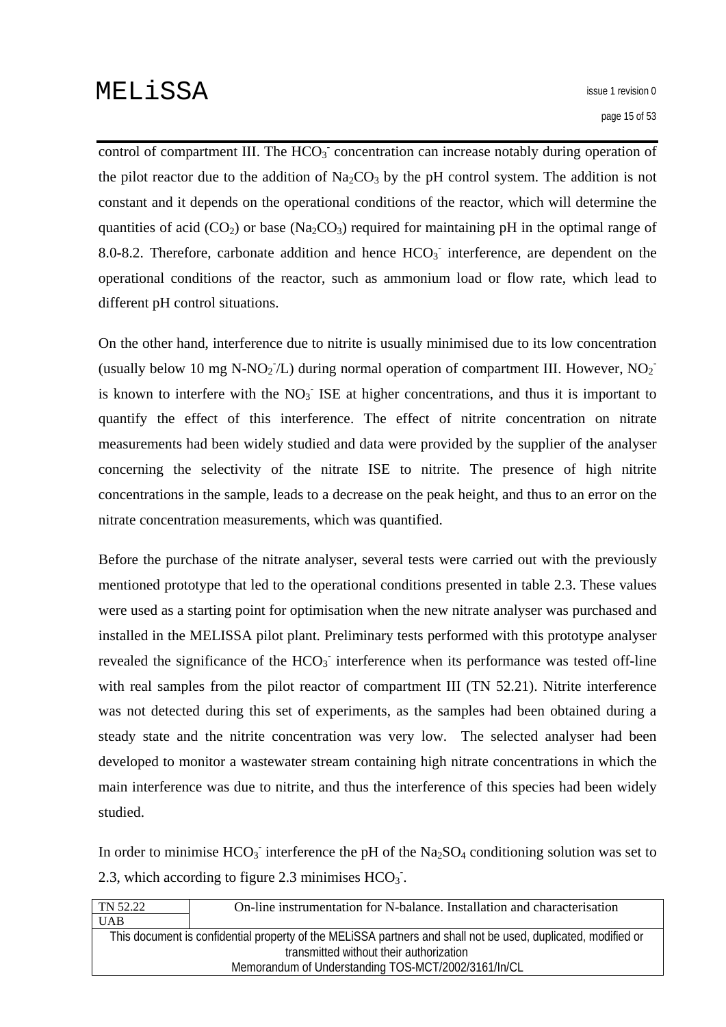control of compartment III. The  $HCO<sub>3</sub>$  concentration can increase notably during operation of the pilot reactor due to the addition of  $Na<sub>2</sub>CO<sub>3</sub>$  by the pH control system. The addition is not constant and it depends on the operational conditions of the reactor, which will determine the quantities of acid (CO<sub>2</sub>) or base (Na<sub>2</sub>CO<sub>3</sub>) required for maintaining pH in the optimal range of 8.0-8.2. Therefore, carbonate addition and hence  $HCO<sub>3</sub>$  interference, are dependent on the operational conditions of the reactor, such as ammonium load or flow rate, which lead to different pH control situations.

On the other hand, interference due to nitrite is usually minimised due to its low concentration (usually below 10 mg N-NO<sub>2</sub><sup>-</sup>/L) during normal operation of compartment III. However, NO<sub>2</sub><sup>-</sup> is known to interfere with the  $NO<sub>3</sub>$  ISE at higher concentrations, and thus it is important to quantify the effect of this interference. The effect of nitrite concentration on nitrate measurements had been widely studied and data were provided by the supplier of the analyser concerning the selectivity of the nitrate ISE to nitrite. The presence of high nitrite concentrations in the sample, leads to a decrease on the peak height, and thus to an error on the nitrate concentration measurements, which was quantified.

Before the purchase of the nitrate analyser, several tests were carried out with the previously mentioned prototype that led to the operational conditions presented in table 2.3. These values were used as a starting point for optimisation when the new nitrate analyser was purchased and installed in the MELISSA pilot plant. Preliminary tests performed with this prototype analyser revealed the significance of the  $HCO<sub>3</sub>$  interference when its performance was tested off-line with real samples from the pilot reactor of compartment III (TN 52.21). Nitrite interference was not detected during this set of experiments, as the samples had been obtained during a steady state and the nitrite concentration was very low. The selected analyser had been developed to monitor a wastewater stream containing high nitrate concentrations in which the main interference was due to nitrite, and thus the interference of this species had been widely studied.

In order to minimise  $HCO_3^-$  interference the pH of the  $Na_2SO_4$  conditioning solution was set to 2.3, which according to figure 2.3 minimises  $HCO<sub>3</sub>$ .

| TN 52.22                                                                                                      | On-line instrumentation for N-balance. Installation and characterisation |  |  |
|---------------------------------------------------------------------------------------------------------------|--------------------------------------------------------------------------|--|--|
| <b>UAB</b>                                                                                                    |                                                                          |  |  |
| This document is confidential property of the MELISSA partners and shall not be used, duplicated, modified or |                                                                          |  |  |
| transmitted without their authorization                                                                       |                                                                          |  |  |
| Memorandum of Understanding TOS-MCT/2002/3161/In/CL                                                           |                                                                          |  |  |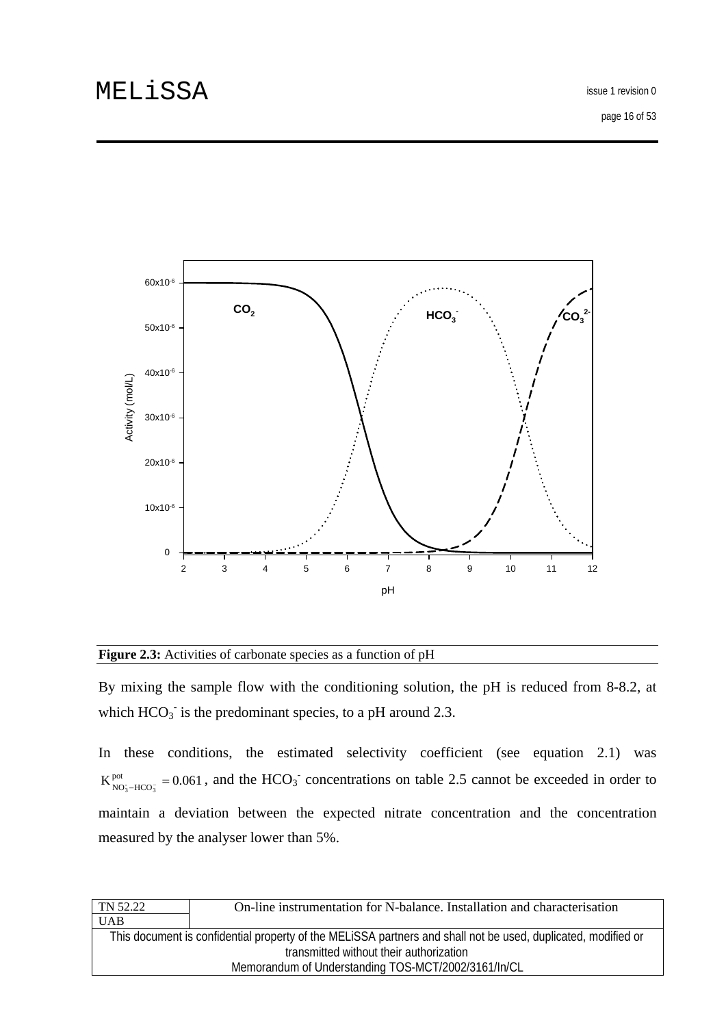

#### **Figure 2.3:** Activities of carbonate species as a function of pH

By mixing the sample flow with the conditioning solution, the pH is reduced from 8-8.2, at which  $HCO<sub>3</sub>$  is the predominant species, to a pH around 2.3.

In these conditions, the estimated selectivity coefficient (see equation 2.1) was  $K_{NO_3-HCO_3^-}^{pot} = 0.061$ , and the HCO<sub>3</sub><sup>-</sup> concentrations on table 2.5 cannot be exceeded in order to maintain a deviation between the expected nitrate concentration and the concentration measured by the analyser lower than 5%.

| TN 52.22                                                                                                      | On-line instrumentation for N-balance. Installation and characterisation |  |  |
|---------------------------------------------------------------------------------------------------------------|--------------------------------------------------------------------------|--|--|
| <b>UAB</b>                                                                                                    |                                                                          |  |  |
| This document is confidential property of the MELISSA partners and shall not be used, duplicated, modified or |                                                                          |  |  |
| transmitted without their authorization                                                                       |                                                                          |  |  |
| Memorandum of Understanding TOS-MCT/2002/3161/In/CL                                                           |                                                                          |  |  |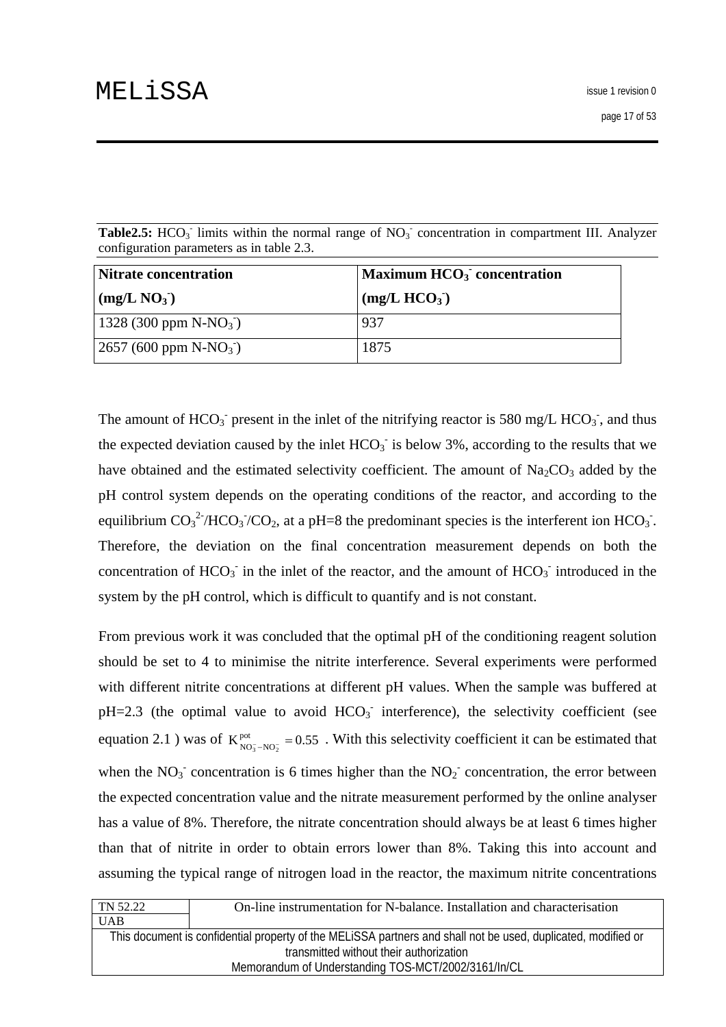Table2.5: HCO<sub>3</sub> limits within the normal range of NO<sub>3</sub> concentration in compartment III. Analyzer configuration parameters as in table 2.3.

| Nitrate concentration    | $\mathbf{Maximum HCO_{3}}$ concentration |  |  |
|--------------------------|------------------------------------------|--|--|
| (mg/L NO <sub>3</sub> )  | (mg/L HCO <sub>3</sub> )                 |  |  |
| 1328 (300 ppm $N-NO_3$ ) | 937                                      |  |  |
| $2657 (600 ppm N-NO3)$   | 1875                                     |  |  |

The amount of  $HCO_3$ <sup>-</sup> present in the inlet of the nitrifying reactor is 580 mg/L  $HCO_3$ <sup>-</sup>, and thus the expected deviation caused by the inlet  $HCO<sub>3</sub>$  is below 3%, according to the results that we have obtained and the estimated selectivity coefficient. The amount of  $Na<sub>2</sub>CO<sub>3</sub>$  added by the pH control system depends on the operating conditions of the reactor, and according to the equilibrium  $CO_3^2/HCO_3/CO_2$ , at a pH=8 the predominant species is the interferent ion  $HCO_3$ . Therefore, the deviation on the final concentration measurement depends on both the concentration of  $HCO_3^-$  in the inlet of the reactor, and the amount of  $HCO_3^-$  introduced in the system by the pH control, which is difficult to quantify and is not constant.

From previous work it was concluded that the optimal pH of the conditioning reagent solution should be set to 4 to minimise the nitrite interference. Several experiments were performed with different nitrite concentrations at different pH values. When the sample was buffered at  $pH=2.3$  (the optimal value to avoid  $HCO<sub>3</sub>$  interference), the selectivity coefficient (see equation 2.1) was of  $K_{NO_3^- - NO_2^-}^{pot} = 0.55$ . With this selectivity coefficient it can be estimated that when the  $NO<sub>3</sub>$  concentration is 6 times higher than the  $NO<sub>2</sub>$  concentration, the error between the expected concentration value and the nitrate measurement performed by the online analyser has a value of 8%. Therefore, the nitrate concentration should always be at least 6 times higher than that of nitrite in order to obtain errors lower than 8%. Taking this into account and assuming the typical range of nitrogen load in the reactor, the maximum nitrite concentrations

| TN 52.22                                                                                                      | On-line instrumentation for N-balance. Installation and characterisation |  |  |
|---------------------------------------------------------------------------------------------------------------|--------------------------------------------------------------------------|--|--|
| <b>UAB</b>                                                                                                    |                                                                          |  |  |
| This document is confidential property of the MELISSA partners and shall not be used, duplicated, modified or |                                                                          |  |  |
| transmitted without their authorization                                                                       |                                                                          |  |  |
| Memorandum of Understanding TOS-MCT/2002/3161/In/CL                                                           |                                                                          |  |  |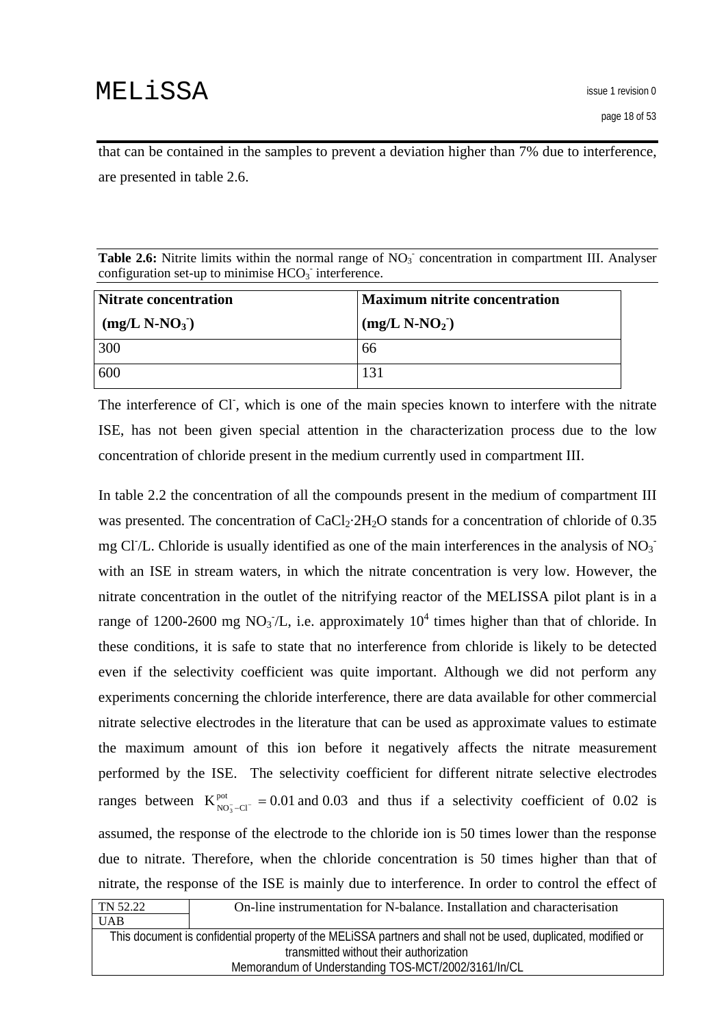that can be contained in the samples to prevent a deviation higher than 7% due to interference, are presented in table 2.6.

| <b>Table 2.6:</b> Nitrite limits within the normal range of $NO3$ concentration in compartment III. Analyser |  |
|--------------------------------------------------------------------------------------------------------------|--|
| configuration set-up to minimise $HCO3$ interference.                                                        |  |

| Nitrate concentration | <b>Maximum nitrite concentration</b> |  |  |
|-----------------------|--------------------------------------|--|--|
| $(mg/L N-NO3)$        | $(mg/L N-NO2)$                       |  |  |
| 300                   | 66                                   |  |  |
| 600                   | 131                                  |  |  |

The interference of Cl, which is one of the main species known to interfere with the nitrate ISE, has not been given special attention in the characterization process due to the low concentration of chloride present in the medium currently used in compartment III.

 $T<sub>2</sub>22$ In table 2.2 the concentration of all the compounds present in the medium of compartment III was presented. The concentration of  $CaCl<sub>2</sub>·2H<sub>2</sub>O$  stands for a concentration of chloride of 0.35 mg Cl $/L$ . Chloride is usually identified as one of the main interferences in the analysis of NO<sub>3</sub> with an ISE in stream waters, in which the nitrate concentration is very low. However, the nitrate concentration in the outlet of the nitrifying reactor of the MELISSA pilot plant is in a range of 1200-2600 mg NO<sub>3</sub>/L, i.e. approximately  $10^4$  times higher than that of chloride. In these conditions, it is safe to state that no interference from chloride is likely to be detected even if the selectivity coefficient was quite important. Although we did not perform any experiments concerning the chloride interference, there are data available for other commercial nitrate selective electrodes in the literature that can be used as approximate values to estimate the maximum amount of this ion before it negatively affects the nitrate measurement performed by the ISE. The selectivity coefficient for different nitrate selective electrodes ranges between  $K_{NO<sub>3</sub>-Cl<sup>-</sup>}^{pot} = 0.01$  and 0.03 and thus if a selectivity coefficient of 0.02 is assumed, the response of the electrode to the chloride ion is 50 times lower than the response due to nitrate. Therefore, when the chloride concentration is 50 times higher than that of nitrate, the response of the ISE is mainly due to interference. In order to control the effect of

| TN 52.22                                                                                                      | On-line instrumentation for N-balance. Installation and characterisation |  |  |
|---------------------------------------------------------------------------------------------------------------|--------------------------------------------------------------------------|--|--|
| <b>UAB</b>                                                                                                    |                                                                          |  |  |
| This document is confidential property of the MELISSA partners and shall not be used, duplicated, modified or |                                                                          |  |  |
| transmitted without their authorization                                                                       |                                                                          |  |  |
| Memorandum of Understanding TOS-MCT/2002/3161/In/CL                                                           |                                                                          |  |  |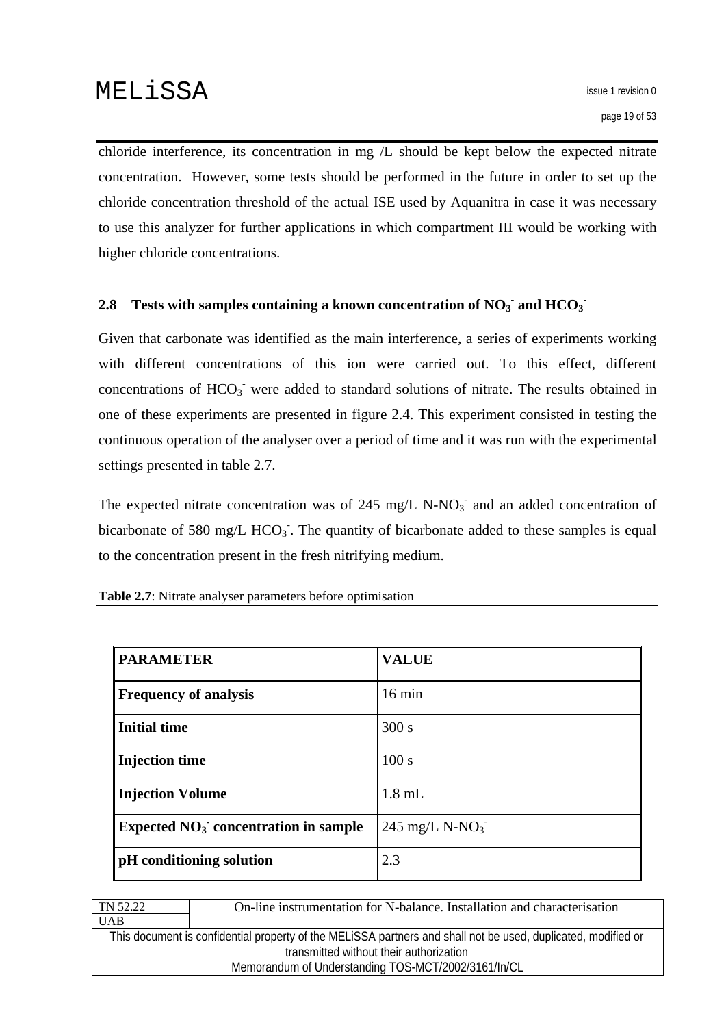<span id="page-18-0"></span>chloride interference, its concentration in mg /L should be kept below the expected nitrate concentration. However, some tests should be performed in the future in order to set up the chloride concentration threshold of the actual ISE used by Aquanitra in case it was necessary to use this analyzer for further applications in which compartment III would be working with higher chloride concentrations.

## 2.8 Tests with samples containing a known concentration of  $NO<sub>3</sub>$  and  $HCO<sub>3</sub>$ <sup> $\cdot$ </sup>

Given that carbonate was identified as the main interference, a series of experiments working with different concentrations of this ion were carried out. To this effect, different concentrations of  $HCO<sub>3</sub>$  were added to standard solutions of nitrate. The results obtained in one of these experiments are presented in figure 2.4. This experiment consisted in testing the continuous operation of the analyser over a period of time and it was run with the experimental settings presented in table 2.7.

The expected nitrate concentration was of 245 mg/L N-NO<sub>3</sub><sup>-</sup> and an added concentration of bicarbonate of 580 mg/L  $HCO<sub>3</sub>$ . The quantity of bicarbonate added to these samples is equal to the concentration present in the fresh nitrifying medium.

|  |  |  | <b>Table 2.7:</b> Nitrate analyser parameters before optimisation |
|--|--|--|-------------------------------------------------------------------|
|  |  |  |                                                                   |

| <b>PARAMETER</b>                       | <b>VALUE</b>               |
|----------------------------------------|----------------------------|
| <b>Frequency of analysis</b>           | $16 \text{ min}$           |
| <b>Initial time</b>                    | 300 s                      |
| <b>Injection time</b>                  | 100 s                      |
| <b>Injection Volume</b>                | $1.8$ mL                   |
| Expected $NO3$ concentration in sample | 245 mg/L N-NO <sub>3</sub> |
| pH conditioning solution               | 2.3                        |

| On-line instrumentation for N-balance. Installation and characterisation                                      |  |  |  |
|---------------------------------------------------------------------------------------------------------------|--|--|--|
|                                                                                                               |  |  |  |
| This document is confidential property of the MELISSA partners and shall not be used, duplicated, modified or |  |  |  |
| transmitted without their authorization                                                                       |  |  |  |
| Memorandum of Understanding TOS-MCT/2002/3161/In/CL                                                           |  |  |  |
|                                                                                                               |  |  |  |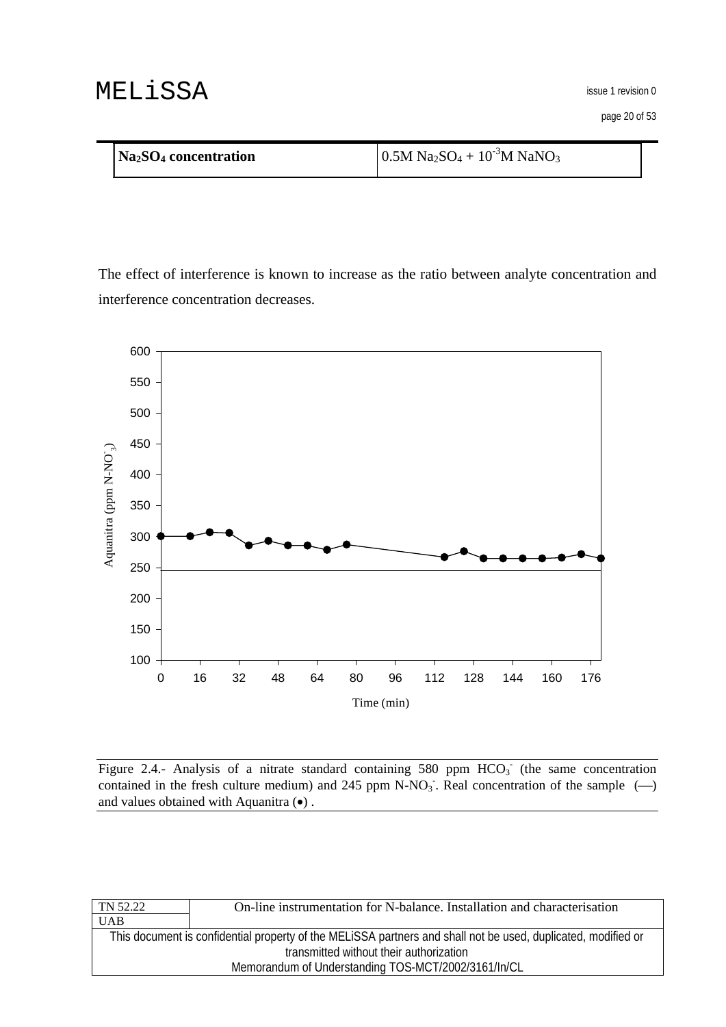page 20 of 53

| $\vert$ Na <sub>2</sub> SO <sub>4</sub> concentration | $0.5M$ Na <sub>2</sub> SO <sub>4</sub> + 10 <sup>-3</sup> M NaNO <sub>3</sub> |
|-------------------------------------------------------|-------------------------------------------------------------------------------|
|                                                       |                                                                               |

The effect of interference is known to increase as the ratio between analyte concentration and interference concentration decreases.



Figure 2.4.- Analysis of a nitrate standard containing 580 ppm  $HCO<sub>3</sub>$  (the same concentration contained in the fresh culture medium) and 245 ppm N-NO<sub>3</sub>. Real concentration of the sample  $\left(\frac{1}{2}\right)$ and values obtained with Aquanitra (•) .

| TN 52.22                                                                                                      | On-line instrumentation for N-balance. Installation and characterisation |  |
|---------------------------------------------------------------------------------------------------------------|--------------------------------------------------------------------------|--|
| <b>UAB</b>                                                                                                    |                                                                          |  |
| This document is confidential property of the MELISSA partners and shall not be used, duplicated, modified or |                                                                          |  |
| transmitted without their authorization                                                                       |                                                                          |  |
| Memorandum of Understanding TOS-MCT/2002/3161/In/CL                                                           |                                                                          |  |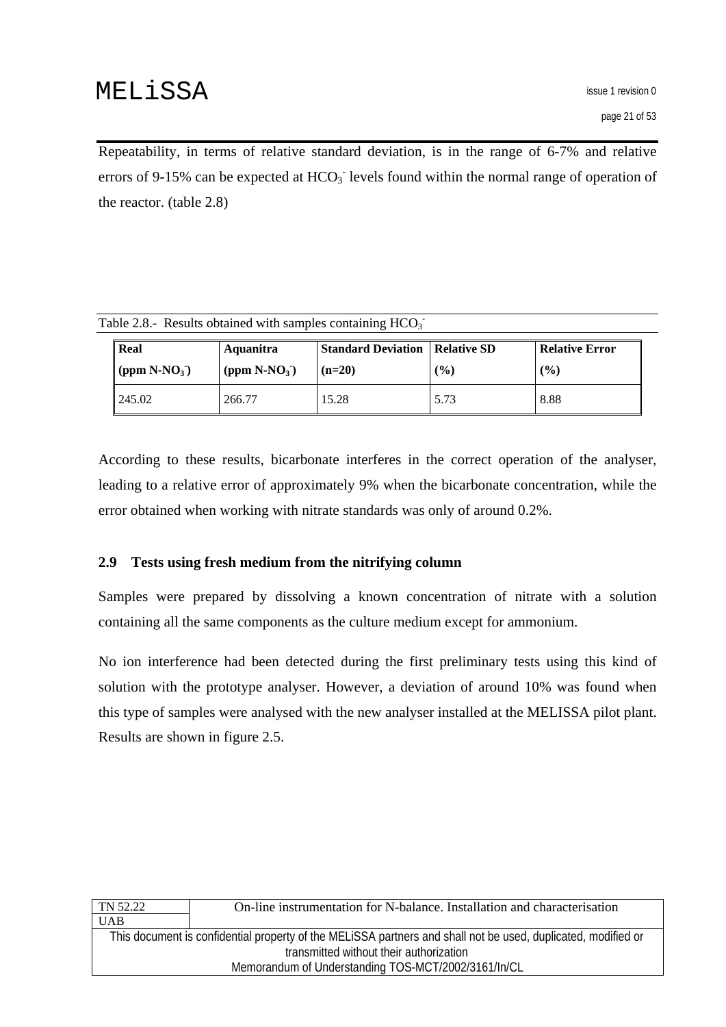<span id="page-20-0"></span>Repeatability, in terms of relative standard deviation, is in the range of 6-7% and relative errors of 9-15% can be expected at  $HCO<sub>3</sub>$  levels found within the normal range of operation of the reactor. (table 2.8)

| Table 2.8.- Results obtained with samples containing $HCO3$ |                                  |                  |                                         |     |                       |  |
|-------------------------------------------------------------|----------------------------------|------------------|-----------------------------------------|-----|-----------------------|--|
|                                                             | Real                             | <b>Aquanitra</b> | <b>Standard Deviation   Relative SD</b> |     | <b>Relative Error</b> |  |
|                                                             | $\vert$ (ppm N-NO <sub>3</sub> ) | $(ppm N-NO3)$    | $(n=20)$                                | (%) | (%)                   |  |

245.02 266.77 15.28 5.73 8.88

According to these results, bicarbonate interferes in the correct operation of the analyser, leading to a relative error of approximately 9% when the bicarbonate concentration, while the error obtained when working with nitrate standards was only of around 0.2%.

## **2.9 Tests using fresh medium from the nitrifying column**

Samples were prepared by dissolving a known concentration of nitrate with a solution containing all the same components as the culture medium except for ammonium.

No ion interference had been detected during the first preliminary tests using this kind of solution with the prototype analyser. However, a deviation of around 10% was found when this type of samples were analysed with the new analyser installed at the MELISSA pilot plant. Results are shown in figure 2.5.

| TN 52.22                                                                                                      | On-line instrumentation for N-balance. Installation and characterisation |  |
|---------------------------------------------------------------------------------------------------------------|--------------------------------------------------------------------------|--|
| <b>UAB</b>                                                                                                    |                                                                          |  |
| This document is confidential property of the MELISSA partners and shall not be used, duplicated, modified or |                                                                          |  |
| transmitted without their authorization                                                                       |                                                                          |  |
| Memorandum of Understanding TOS-MCT/2002/3161/In/CL                                                           |                                                                          |  |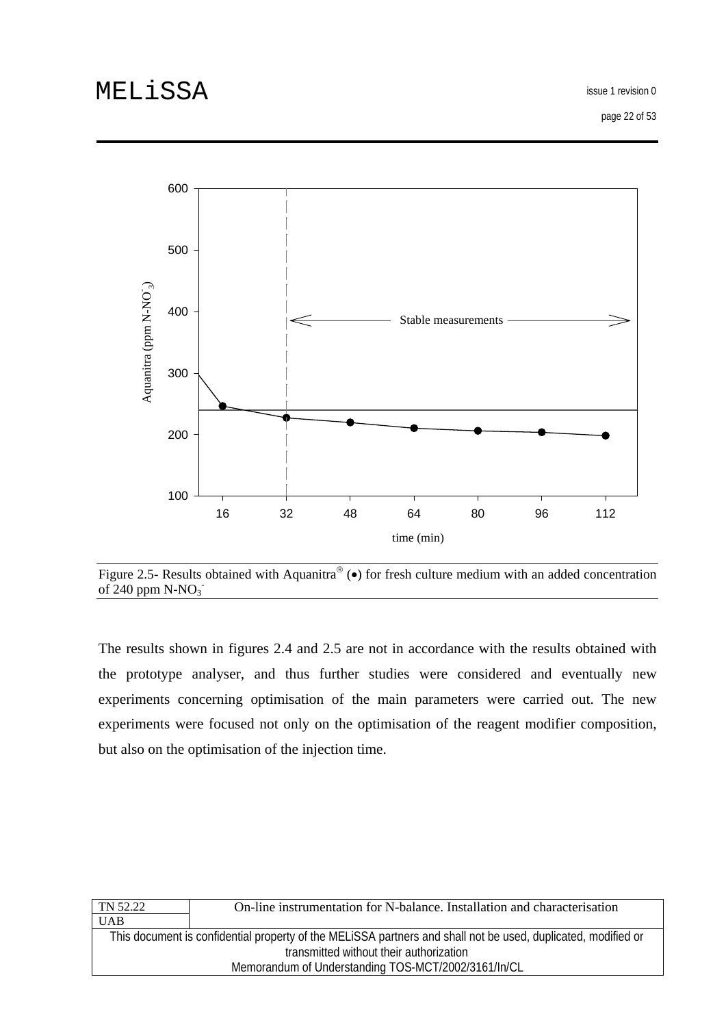issue 1 revision 0

page 22 of 53



Figure 2.5- Results obtained with Aquanitra® ( $\bullet$ ) for fresh culture medium with an added concentration of  $240$  ppm  $N-NO<sub>3</sub>$ 

The results shown in figures 2.4 and 2.5 are not in accordance with the results obtained with the prototype analyser, and thus further studies were considered and eventually new experiments concerning optimisation of the main parameters were carried out. The new experiments were focused not only on the optimisation of the reagent modifier composition, but also on the optimisation of the injection time.

| TN 52.22                                                                                                      | On-line instrumentation for N-balance. Installation and characterisation |  |
|---------------------------------------------------------------------------------------------------------------|--------------------------------------------------------------------------|--|
| <b>UAB</b>                                                                                                    |                                                                          |  |
| This document is confidential property of the MELISSA partners and shall not be used, duplicated, modified or |                                                                          |  |
| transmitted without their authorization                                                                       |                                                                          |  |
| Memorandum of Understanding TOS-MCT/2002/3161/In/CL                                                           |                                                                          |  |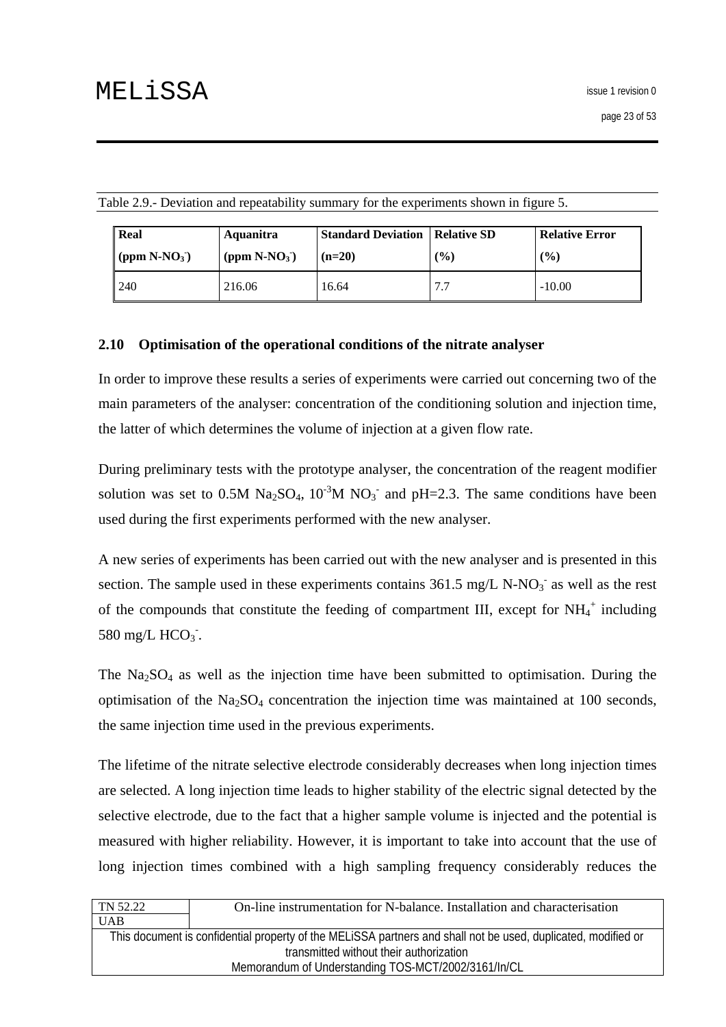| <b>Real</b>     | Aquanitra       | <b>Standard Deviation</b> | Relative SD | <b>Relative Error</b> |
|-----------------|-----------------|---------------------------|-------------|-----------------------|
| (ppm $N-NO_3$ ) | (ppm $N-NO_3$ ) | $(n=20)$                  | $($ %)      | $\frac{(0)}{0}$       |
| 1240            | 216.06          | 16.64                     | 7.7         | $-10.00$              |

<span id="page-22-0"></span>Table 2.9.- Deviation and repeatability summary for the experiments shown in figure 5.

#### **2.10 Optimisation of the operational conditions of the nitrate analyser**

In order to improve these results a series of experiments were carried out concerning two of the main parameters of the analyser: concentration of the conditioning solution and injection time, the latter of which determines the volume of injection at a given flow rate.

During preliminary tests with the prototype analyser, the concentration of the reagent modifier solution was set to 0.5M Na<sub>2</sub>SO<sub>4</sub>, 10<sup>-3</sup>M NO<sub>3</sub><sup>-</sup> and pH=2.3. The same conditions have been used during the first experiments performed with the new analyser.

A new series of experiments has been carried out with the new analyser and is presented in this section. The sample used in these experiments contains  $361.5$  mg/L N-NO<sub>3</sub><sup>-</sup> as well as the rest of the compounds that constitute the feeding of compartment III, except for  $NH_4^+$  including 580 mg/L  $HCO<sub>3</sub>$ .

The  $Na<sub>2</sub>SO<sub>4</sub>$  as well as the injection time have been submitted to optimisation. During the optimisation of the  $Na<sub>2</sub>SO<sub>4</sub>$  concentration the injection time was maintained at 100 seconds, the same injection time used in the previous experiments.

The lifetime of the nitrate selective electrode considerably decreases when long injection times are selected. A long injection time leads to higher stability of the electric signal detected by the selective electrode, due to the fact that a higher sample volume is injected and the potential is measured with higher reliability. However, it is important to take into account that the use of long injection times combined with a high sampling frequency considerably reduces the

| This document is confidential property of the MELISSA partners and shall not be used, duplicated, modified or |  |  |
|---------------------------------------------------------------------------------------------------------------|--|--|
| transmitted without their authorization                                                                       |  |  |
| Memorandum of Understanding TOS-MCT/2002/3161/In/CL                                                           |  |  |
|                                                                                                               |  |  |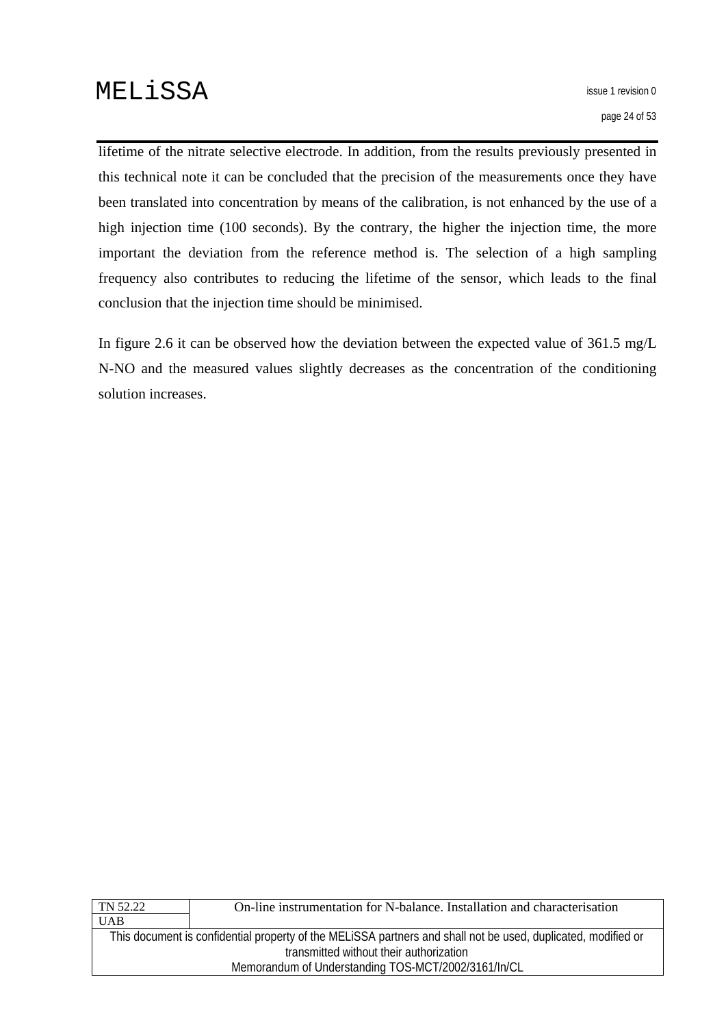lifetime of the nitrate selective electrode. In addition, from the results previously presented in this technical note it can be concluded that the precision of the measurements once they have been translated into concentration by means of the calibration, is not enhanced by the use of a high injection time (100 seconds). By the contrary, the higher the injection time, the more important the deviation from the reference method is. The selection of a high sampling frequency also contributes to reducing the lifetime of the sensor, which leads to the final conclusion that the injection time should be minimised.

In figure 2.6 it can be observed how the deviation between the expected value of 361.5 mg/L N-NO and the measured values slightly decreases as the concentration of the conditioning solution increases.

| TN 52.22                                                                                                      | On-line instrumentation for N-balance. Installation and characterisation |  |
|---------------------------------------------------------------------------------------------------------------|--------------------------------------------------------------------------|--|
| <b>UAB</b>                                                                                                    |                                                                          |  |
| This document is confidential property of the MELISSA partners and shall not be used, duplicated, modified or |                                                                          |  |
| transmitted without their authorization                                                                       |                                                                          |  |
| Memorandum of Understanding TOS-MCT/2002/3161/In/CL                                                           |                                                                          |  |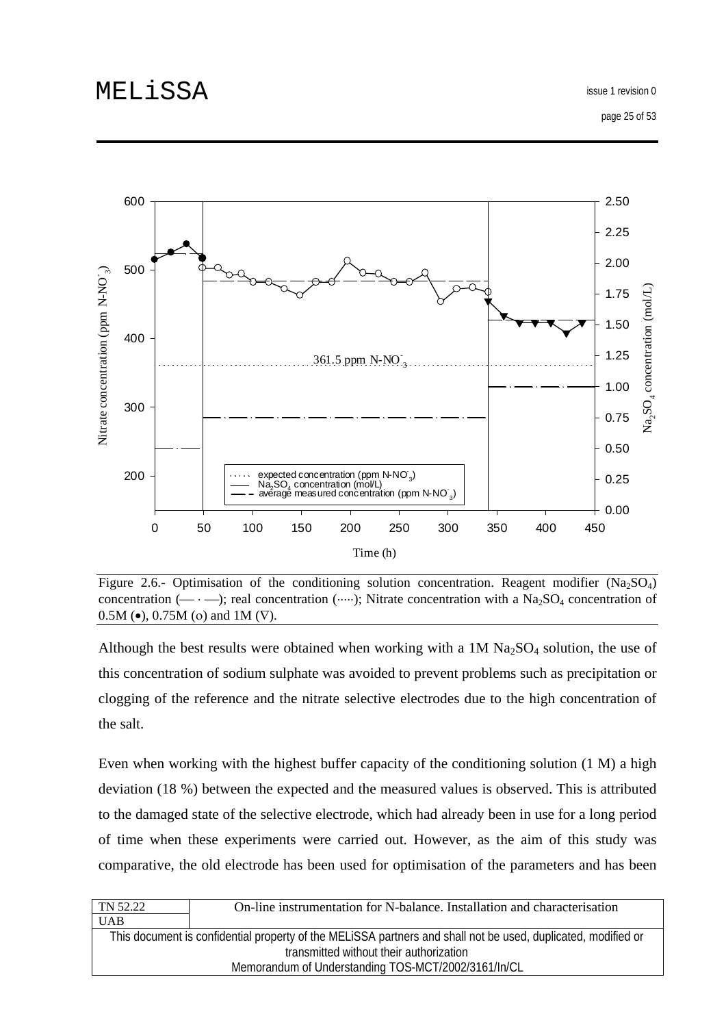page 25 of 53



Figure 2.6.- Optimisation of the conditioning solution concentration. Reagent modifier  $(Na_2SO_4)$ concentration ( $\leftarrow \cdot \cdot$ ); real concentration ( $\cdot \cdot \cdot$ ); Nitrate concentration with a Na<sub>2</sub>SO<sub>4</sub> concentration of 0.5M ( $\bullet$ ), 0.75M (o) and 1M ( $\nabla$ ).

Although the best results were obtained when working with a  $1M Na<sub>2</sub>SO<sub>4</sub>$  solution, the use of this concentration of sodium sulphate was avoided to prevent problems such as precipitation or clogging of the reference and the nitrate selective electrodes due to the high concentration of the salt.

Even when working with the highest buffer capacity of the conditioning solution (1 M) a high deviation (18 %) between the expected and the measured values is observed. This is attributed to the damaged state of the selective electrode, which had already been in use for a long period of time when these experiments were carried out. However, as the aim of this study was comparative, the old electrode has been used for optimisation of the parameters and has been

| TN 52.22                                                                                                      | On-line instrumentation for N-balance. Installation and characterisation |  |
|---------------------------------------------------------------------------------------------------------------|--------------------------------------------------------------------------|--|
| <b>UAB</b>                                                                                                    |                                                                          |  |
| This document is confidential property of the MELISSA partners and shall not be used, duplicated, modified or |                                                                          |  |
| transmitted without their authorization                                                                       |                                                                          |  |
| Memorandum of Understanding TOS-MCT/2002/3161/In/CL                                                           |                                                                          |  |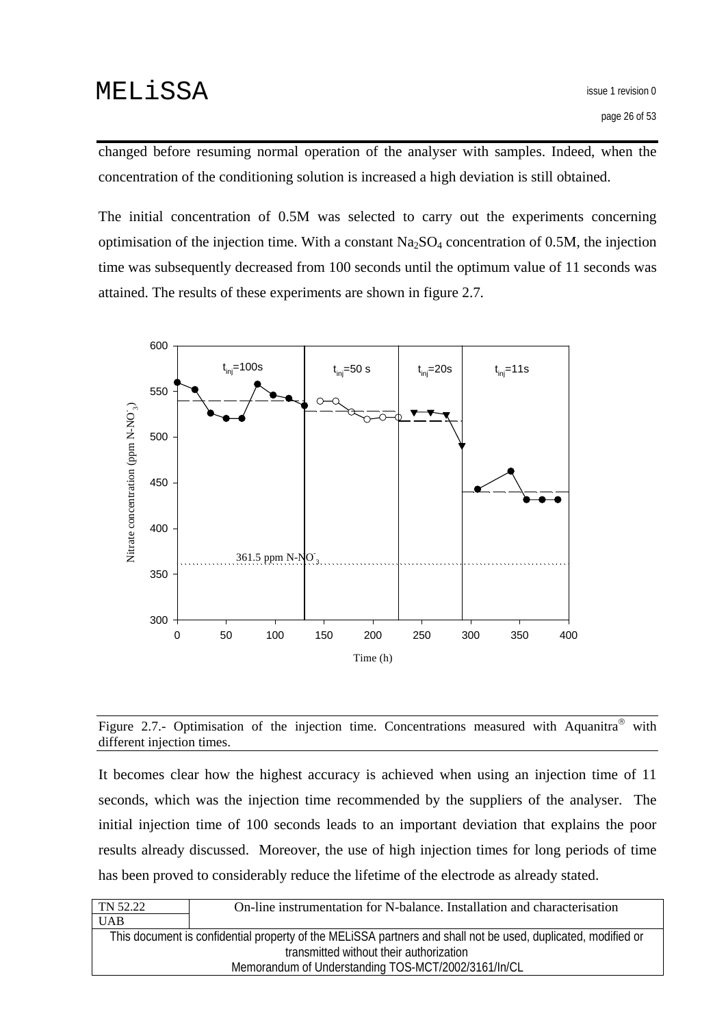changed before resuming normal operation of the analyser with samples. Indeed, when the concentration of the conditioning solution is increased a high deviation is still obtained.

The initial concentration of 0.5M was selected to carry out the experiments concerning optimisation of the injection time. With a constant  $Na<sub>2</sub>SO<sub>4</sub>$  concentration of 0.5M, the injection time was subsequently decreased from 100 seconds until the optimum value of 11 seconds was attained. The results of these experiments are shown in figure 2.7*.* 





It becomes clear how the highest accuracy is achieved when using an injection time of 11 seconds, which was the injection time recommended by the suppliers of the analyser. The initial injection time of 100 seconds leads to an important deviation that explains the poor results already discussed. Moreover, the use of high injection times for long periods of time has been proved to considerably reduce the lifetime of the electrode as already stated.

| TN 52.22                                                                                                      | On-line instrumentation for N-balance. Installation and characterisation |  |
|---------------------------------------------------------------------------------------------------------------|--------------------------------------------------------------------------|--|
| <b>UAB</b>                                                                                                    |                                                                          |  |
| This document is confidential property of the MELISSA partners and shall not be used, duplicated, modified or |                                                                          |  |
| transmitted without their authorization                                                                       |                                                                          |  |
| Memorandum of Understanding TOS-MCT/2002/3161/In/CL                                                           |                                                                          |  |
|                                                                                                               |                                                                          |  |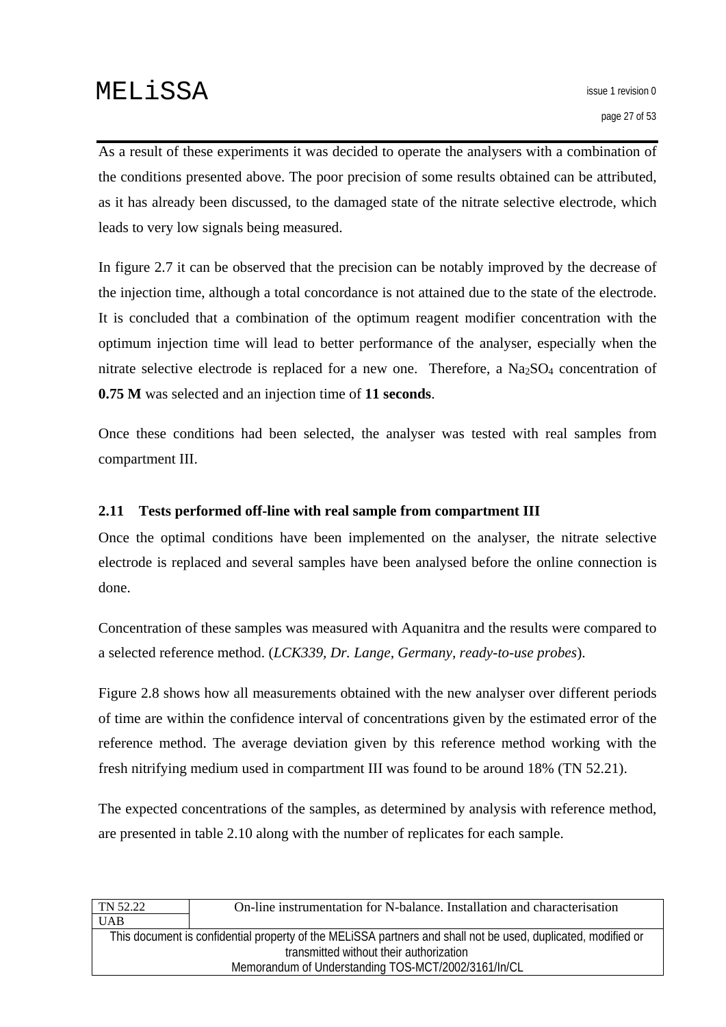<span id="page-26-0"></span>As a result of these experiments it was decided to operate the analysers with a combination of the conditions presented above. The poor precision of some results obtained can be attributed, as it has already been discussed, to the damaged state of the nitrate selective electrode, which leads to very low signals being measured.

In figure 2.7 it can be observed that the precision can be notably improved by the decrease of the injection time, although a total concordance is not attained due to the state of the electrode. It is concluded that a combination of the optimum reagent modifier concentration with the optimum injection time will lead to better performance of the analyser, especially when the nitrate selective electrode is replaced for a new one. Therefore, a  $Na<sub>2</sub>SO<sub>4</sub>$  concentration of **0.75 M** was selected and an injection time of **11 seconds**.

Once these conditions had been selected, the analyser was tested with real samples from compartment III.

### **2.11 Tests performed off-line with real sample from compartment III**

Once the optimal conditions have been implemented on the analyser, the nitrate selective electrode is replaced and several samples have been analysed before the online connection is done.

Concentration of these samples was measured with Aquanitra and the results were compared to a selected reference method. (*LCK339, Dr. Lange, Germany, ready-to-use probes*).

Figure 2.8 shows how all measurements obtained with the new analyser over different periods of time are within the confidence interval of concentrations given by the estimated error of the reference method. The average deviation given by this reference method working with the fresh nitrifying medium used in compartment III was found to be around 18% (TN 52.21).

The expected concentrations of the samples, as determined by analysis with reference method, are presented in table 2.10 along with the number of replicates for each sample.

| On-line instrumentation for N-balance. Installation and characterisation                                      |  |  |
|---------------------------------------------------------------------------------------------------------------|--|--|
|                                                                                                               |  |  |
| This document is confidential property of the MELISSA partners and shall not be used, duplicated, modified or |  |  |
| transmitted without their authorization                                                                       |  |  |
| Memorandum of Understanding TOS-MCT/2002/3161/In/CL                                                           |  |  |
|                                                                                                               |  |  |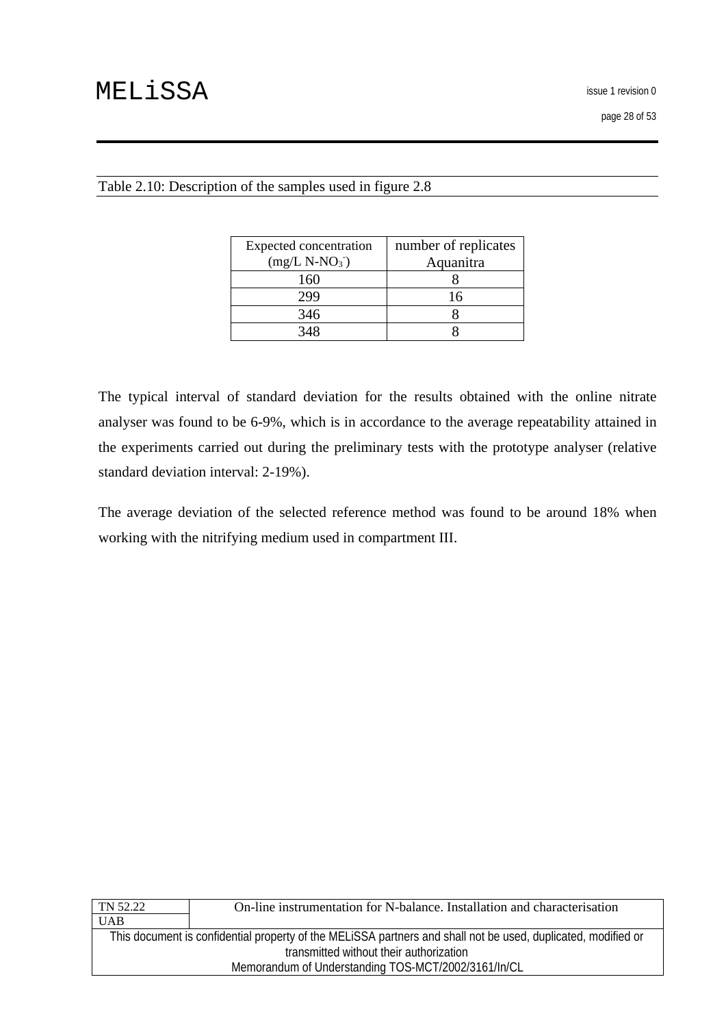| Expected concentration<br>$(mg/L N-NO3)$ | number of replicates<br>Aquanitra |
|------------------------------------------|-----------------------------------|
| 160                                      |                                   |
|                                          | 16                                |
| 346                                      |                                   |
|                                          |                                   |

#### Table 2.10: Description of the samples used in figure 2.8

The typical interval of standard deviation for the results obtained with the online nitrate analyser was found to be 6-9%, which is in accordance to the average repeatability attained in the experiments carried out during the preliminary tests with the prototype analyser (relative standard deviation interval: 2-19%).

The average deviation of the selected reference method was found to be around 18% when working with the nitrifying medium used in compartment III.

| TN 52.22                                                                                                      | On-line instrumentation for N-balance. Installation and characterisation |  |
|---------------------------------------------------------------------------------------------------------------|--------------------------------------------------------------------------|--|
| <b>UAB</b>                                                                                                    |                                                                          |  |
| This document is confidential property of the MELISSA partners and shall not be used, duplicated, modified or |                                                                          |  |
| transmitted without their authorization                                                                       |                                                                          |  |
| Memorandum of Understanding TOS-MCT/2002/3161/In/CL                                                           |                                                                          |  |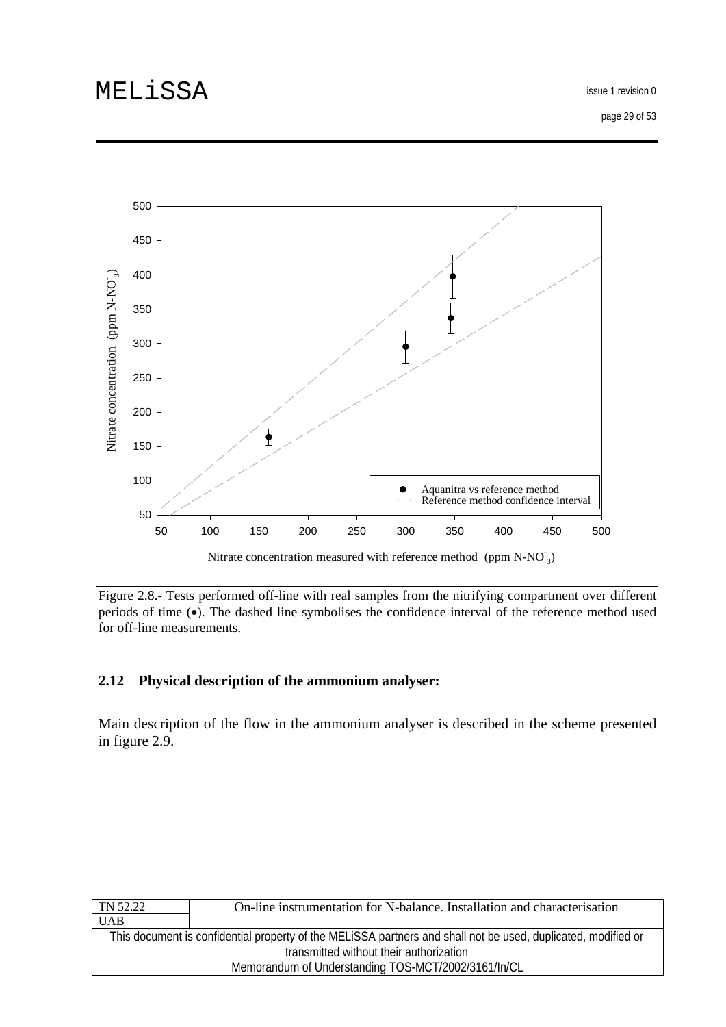<span id="page-28-0"></span>

Figure 2.8.- Tests performed off-line with real samples from the nitrifying compartment over different periods of time (•). The dashed line symbolises the confidence interval of the reference method used for off-line measurements.

### **2.12 Physical description of the ammonium analyser:**

Main description of the flow in the ammonium analyser is described in the scheme presented in figure 2.9.

| On-line instrumentation for N-balance. Installation and characterisation                                      |  |
|---------------------------------------------------------------------------------------------------------------|--|
|                                                                                                               |  |
| This document is confidential property of the MELISSA partners and shall not be used, duplicated, modified or |  |
| transmitted without their authorization                                                                       |  |
| Memorandum of Understanding TOS-MCT/2002/3161/In/CL                                                           |  |
|                                                                                                               |  |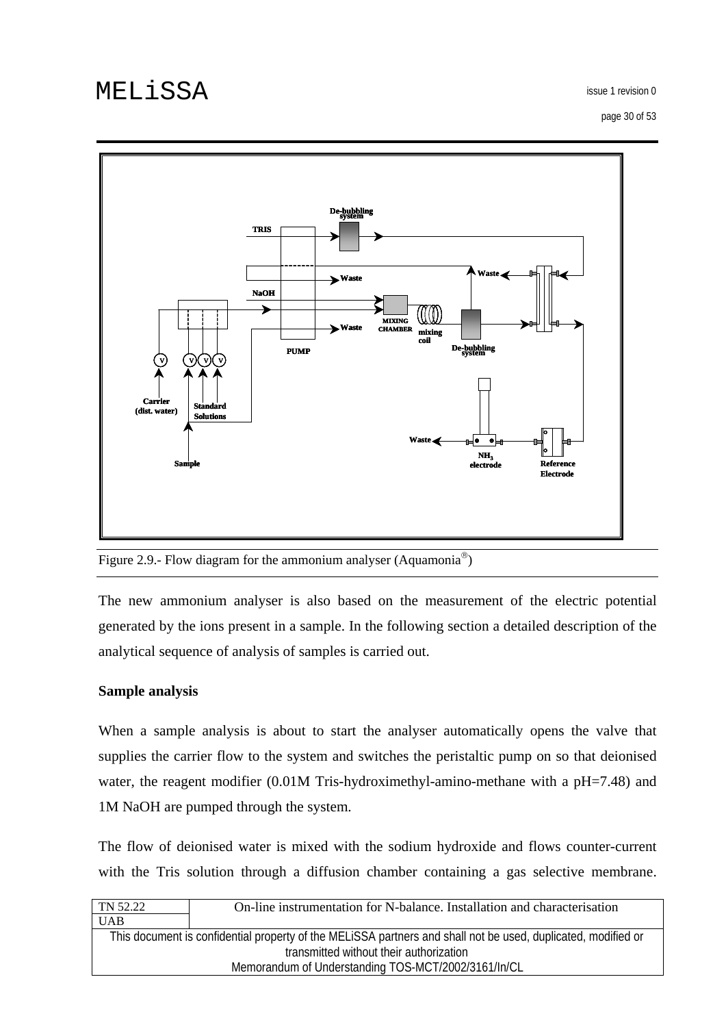issue 1 revision 0

page 30 of 53



Figure 2.9.- Flow diagram for the ammonium analyser (Aquamonia®)

The new ammonium analyser is also based on the measurement of the electric potential generated by the ions present in a sample. In the following section a detailed description of the analytical sequence of analysis of samples is carried out.

### **Sample analysis**

When a sample analysis is about to start the analyser automatically opens the valve that supplies the carrier flow to the system and switches the peristaltic pump on so that deionised water, the reagent modifier (0.01M Tris-hydroximethyl-amino-methane with a pH=7.48) and 1M NaOH are pumped through the system.

The flow of deionised water is mixed with the sodium hydroxide and flows counter-current with the Tris solution through a diffusion chamber containing a gas selective membrane.

| TN 52.22                                                                                                      | On-line instrumentation for N-balance. Installation and characterisation |
|---------------------------------------------------------------------------------------------------------------|--------------------------------------------------------------------------|
| <b>UAB</b>                                                                                                    |                                                                          |
| This document is confidential property of the MELISSA partners and shall not be used, duplicated, modified or |                                                                          |
| transmitted without their authorization                                                                       |                                                                          |
| Memorandum of Understanding TOS-MCT/2002/3161/In/CL                                                           |                                                                          |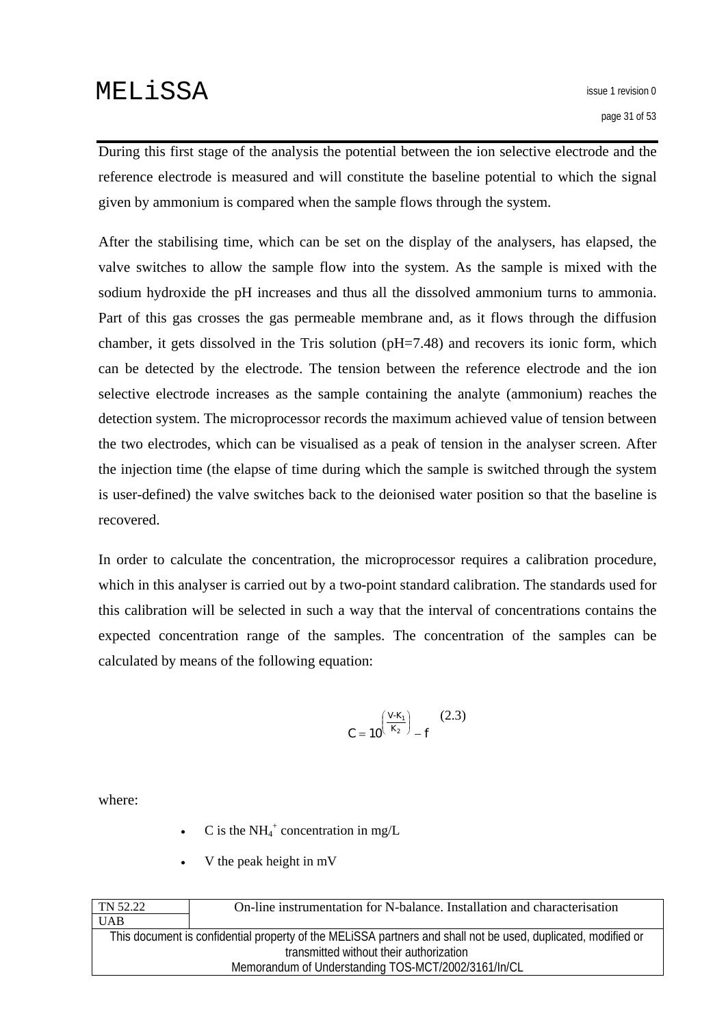During this first stage of the analysis the potential between the ion selective electrode and the reference electrode is measured and will constitute the baseline potential to which the signal given by ammonium is compared when the sample flows through the system.

After the stabilising time, which can be set on the display of the analysers, has elapsed, the valve switches to allow the sample flow into the system. As the sample is mixed with the sodium hydroxide the pH increases and thus all the dissolved ammonium turns to ammonia. Part of this gas crosses the gas permeable membrane and, as it flows through the diffusion chamber, it gets dissolved in the Tris solution (pH=7.48) and recovers its ionic form, which can be detected by the electrode. The tension between the reference electrode and the ion selective electrode increases as the sample containing the analyte (ammonium) reaches the detection system. The microprocessor records the maximum achieved value of tension between the two electrodes, which can be visualised as a peak of tension in the analyser screen. After the injection time (the elapse of time during which the sample is switched through the system is user-defined) the valve switches back to the deionised water position so that the baseline is recovered.

In order to calculate the concentration, the microprocessor requires a calibration procedure, which in this analyser is carried out by a two-point standard calibration. The standards used for this calibration will be selected in such a way that the interval of concentrations contains the expected concentration range of the samples. The concentration of the samples can be calculated by means of the following equation:

$$
C = 10^{\left(\frac{V-K_1}{K_2}\right)} - f \tag{2.3}
$$

where:

- C is the  $NH_4^+$  concentration in mg/L
- V the peak height in mV

| TN 52.22                                            | On-line instrumentation for N-balance. Installation and characterisation                                      |
|-----------------------------------------------------|---------------------------------------------------------------------------------------------------------------|
| <b>UAB</b>                                          |                                                                                                               |
|                                                     | This document is confidential property of the MELISSA partners and shall not be used, duplicated, modified or |
| transmitted without their authorization             |                                                                                                               |
| Memorandum of Understanding TOS-MCT/2002/3161/In/CL |                                                                                                               |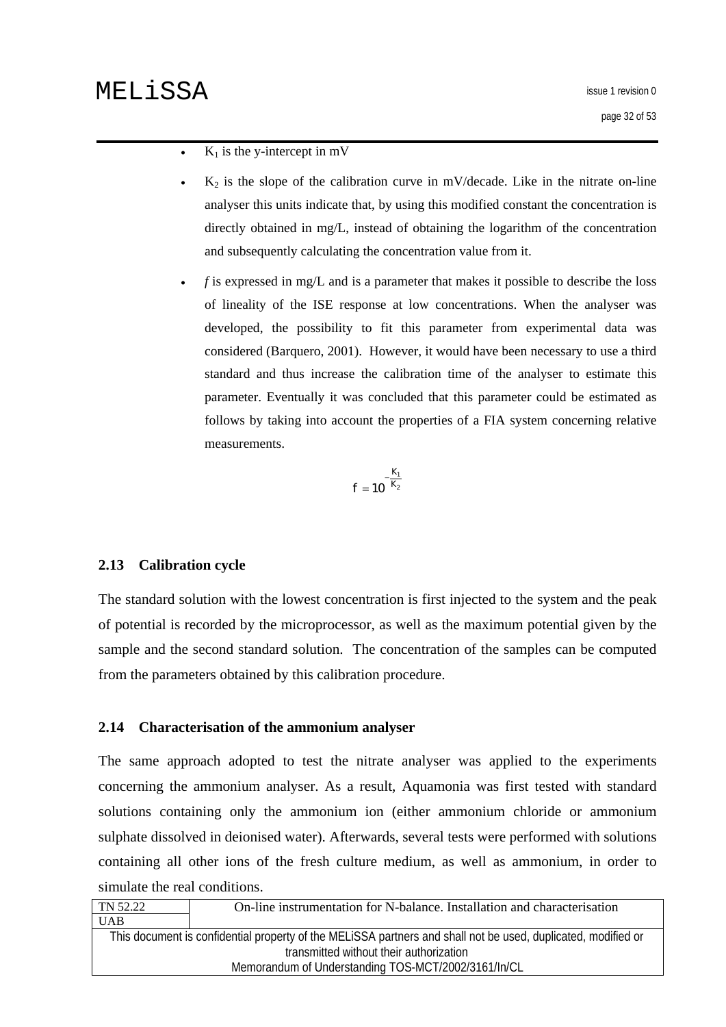- <span id="page-31-0"></span> $K_1$  is the y-intercept in mV
- $K_2$  is the slope of the calibration curve in mV/decade. Like in the nitrate on-line analyser this units indicate that, by using this modified constant the concentration is directly obtained in mg/L, instead of obtaining the logarithm of the concentration and subsequently calculating the concentration value from it.
- *f* is expressed in mg/L and is a parameter that makes it possible to describe the loss of lineality of the ISE response at low concentrations. When the analyser was developed, the possibility to fit this parameter from experimental data was considered (Barquero, 2001). However, it would have been necessary to use a third standard and thus increase the calibration time of the analyser to estimate this parameter. Eventually it was concluded that this parameter could be estimated as follows by taking into account the properties of a FIA system concerning relative measurements.

$$
f=10^{-\frac{K_1}{K_2}}
$$

#### **2.13 Calibration cycle**

The standard solution with the lowest concentration is first injected to the system and the peak of potential is recorded by the microprocessor, as well as the maximum potential given by the sample and the second standard solution. The concentration of the samples can be computed from the parameters obtained by this calibration procedure.

#### **2.14 Characterisation of the ammonium analyser**

The same approach adopted to test the nitrate analyser was applied to the experiments concerning the ammonium analyser. As a result, Aquamonia was first tested with standard solutions containing only the ammonium ion (either ammonium chloride or ammonium sulphate dissolved in deionised water). Afterwards, several tests were performed with solutions containing all other ions of the fresh culture medium, as well as ammonium, in order to simulate the real conditions.

| TN 52.22                                                                                                      | On-line instrumentation for N-balance. Installation and characterisation |
|---------------------------------------------------------------------------------------------------------------|--------------------------------------------------------------------------|
| <b>UAB</b>                                                                                                    |                                                                          |
| This document is confidential property of the MELISSA partners and shall not be used, duplicated, modified or |                                                                          |
| transmitted without their authorization                                                                       |                                                                          |
|                                                                                                               | Memorandum of Understanding TOS-MCT/2002/3161/In/CL                      |
|                                                                                                               |                                                                          |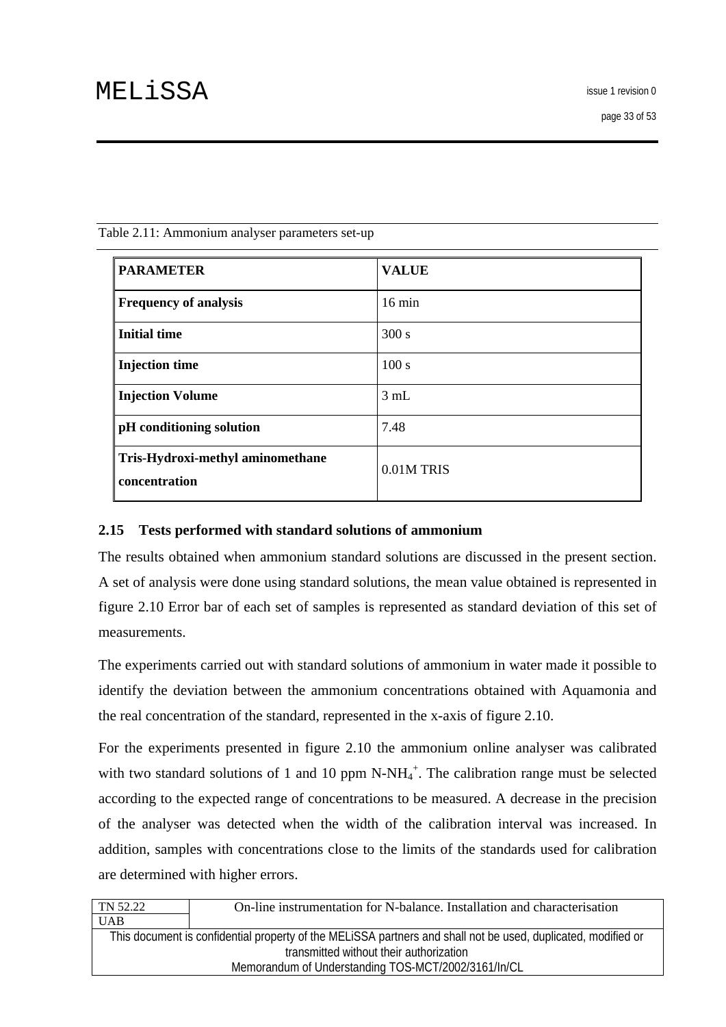page 33 of 53

| <b>PARAMETER</b>                                  | <b>VALUE</b>     |
|---------------------------------------------------|------------------|
| <b>Frequency of analysis</b>                      | $16 \text{ min}$ |
| <b>Initial time</b>                               | 300 s            |
| <b>Injection time</b>                             | 100 s            |
| <b>Injection Volume</b>                           | 3 mL             |
| pH conditioning solution                          | 7.48             |
| Tris-Hydroxi-methyl aminomethane<br>concentration | 0.01M TRIS       |

<span id="page-32-0"></span>Table 2.11: Ammonium analyser parameters set-up

#### **2.15 Tests performed with standard solutions of ammonium**

The results obtained when ammonium standard solutions are discussed in the present section. A set of analysis were done using standard solutions, the mean value obtained is represented in figure 2.10 Error bar of each set of samples is represented as standard deviation of this set of measurements.

The experiments carried out with standard solutions of ammonium in water made it possible to identify the deviation between the ammonium concentrations obtained with Aquamonia and the real concentration of the standard, represented in the x-axis of figure 2.10.

For the experiments presented in figure 2.10 the ammonium online analyser was calibrated with two standard solutions of 1 and 10 ppm  $N-NH<sub>4</sub><sup>+</sup>$ . The calibration range must be selected according to the expected range of concentrations to be measured. A decrease in the precision of the analyser was detected when the width of the calibration interval was increased. In addition, samples with concentrations close to the limits of the standards used for calibration are determined with higher errors.

| On-line instrumentation for N-balance. Installation and characterisation                                      |  |
|---------------------------------------------------------------------------------------------------------------|--|
|                                                                                                               |  |
| This document is confidential property of the MELISSA partners and shall not be used, duplicated, modified or |  |
| transmitted without their authorization                                                                       |  |
| Memorandum of Understanding TOS-MCT/2002/3161/In/CL                                                           |  |
|                                                                                                               |  |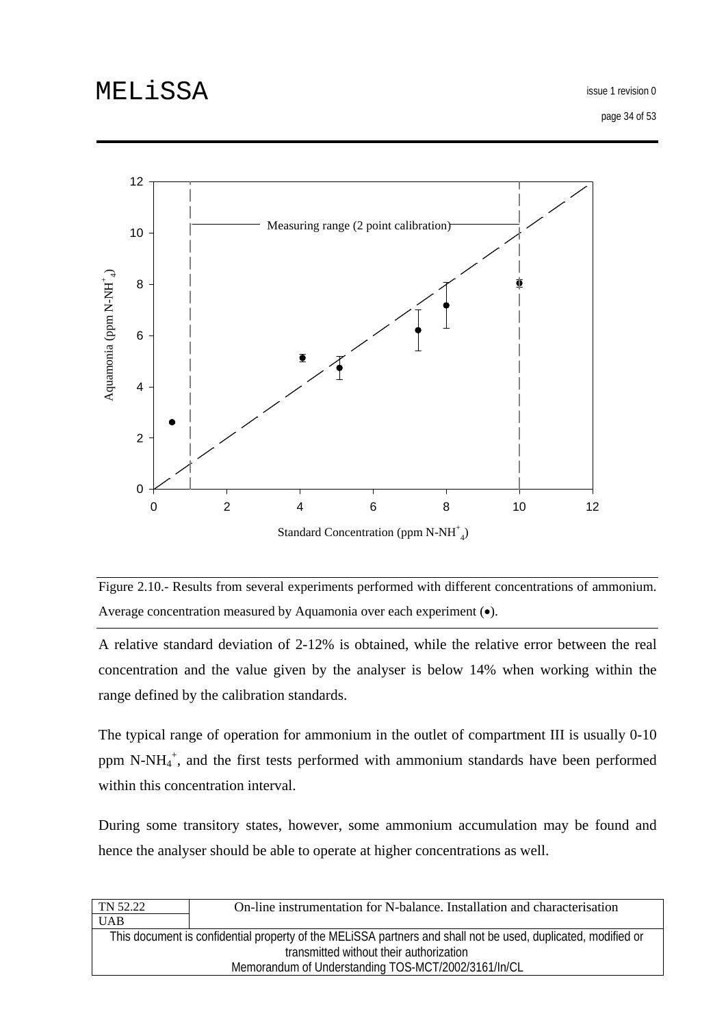issue 1 revision 0

page 34 of 53



Standard Concentration (ppm  $N-NH^+_{4}$ )

Figure 2.10.- Results from several experiments performed with different concentrations of ammonium. Average concentration measured by Aquamonia over each experiment (•).

A relative standard deviation of 2-12% is obtained, while the relative error between the real concentration and the value given by the analyser is below 14% when working within the range defined by the calibration standards.

The typical range of operation for ammonium in the outlet of compartment III is usually 0-10 ppm N-NH4 + , and the first tests performed with ammonium standards have been performed within this concentration interval.

During some transitory states, however, some ammonium accumulation may be found and hence the analyser should be able to operate at higher concentrations as well.

| TN 52.22                                            | On-line instrumentation for N-balance. Installation and characterisation                                      |
|-----------------------------------------------------|---------------------------------------------------------------------------------------------------------------|
| <b>UAB</b>                                          |                                                                                                               |
|                                                     | This document is confidential property of the MELISSA partners and shall not be used, duplicated, modified or |
| transmitted without their authorization             |                                                                                                               |
| Memorandum of Understanding TOS-MCT/2002/3161/In/CL |                                                                                                               |
|                                                     |                                                                                                               |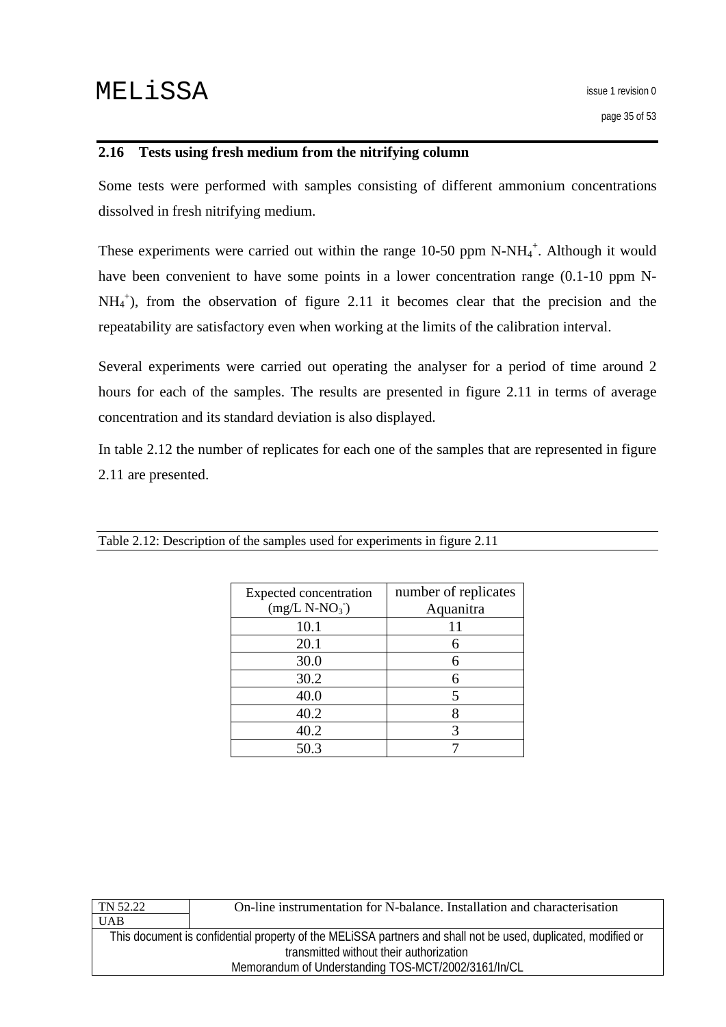### <span id="page-34-0"></span>**2.16 Tests using fresh medium from the nitrifying column**

Some tests were performed with samples consisting of different ammonium concentrations dissolved in fresh nitrifying medium.

These experiments were carried out within the range  $10-50$  ppm N-NH $_4^+$ . Although it would have been convenient to have some points in a lower concentration range (0.1-10 ppm N-NH<sub>4</sub><sup>+</sup>), from the observation of figure 2.11 it becomes clear that the precision and the repeatability are satisfactory even when working at the limits of the calibration interval.

Several experiments were carried out operating the analyser for a period of time around 2 hours for each of the samples. The results are presented in figure 2.11 in terms of average concentration and its standard deviation is also displayed.

In table 2.12 the number of replicates for each one of the samples that are represented in figure 2.11 are presented.

| Expected concentration<br>$(mg/L N-NO3)$ | number of replicates<br>Aquanitra |
|------------------------------------------|-----------------------------------|
| 10.1                                     |                                   |
| 20.1                                     | 6                                 |
| 30.0                                     |                                   |
| 30.2                                     |                                   |
| 40.0                                     |                                   |
| 40.2                                     |                                   |
| 40.2                                     |                                   |
| 50.3                                     |                                   |

Table 2.12: Description of the samples used for experiments in figure 2.11

| TN 52.22                                            | On-line instrumentation for N-balance. Installation and characterisation                                      |
|-----------------------------------------------------|---------------------------------------------------------------------------------------------------------------|
| <b>UAB</b>                                          |                                                                                                               |
|                                                     | This document is confidential property of the MELISSA partners and shall not be used, duplicated, modified or |
| transmitted without their authorization             |                                                                                                               |
| Memorandum of Understanding TOS-MCT/2002/3161/In/CL |                                                                                                               |
|                                                     |                                                                                                               |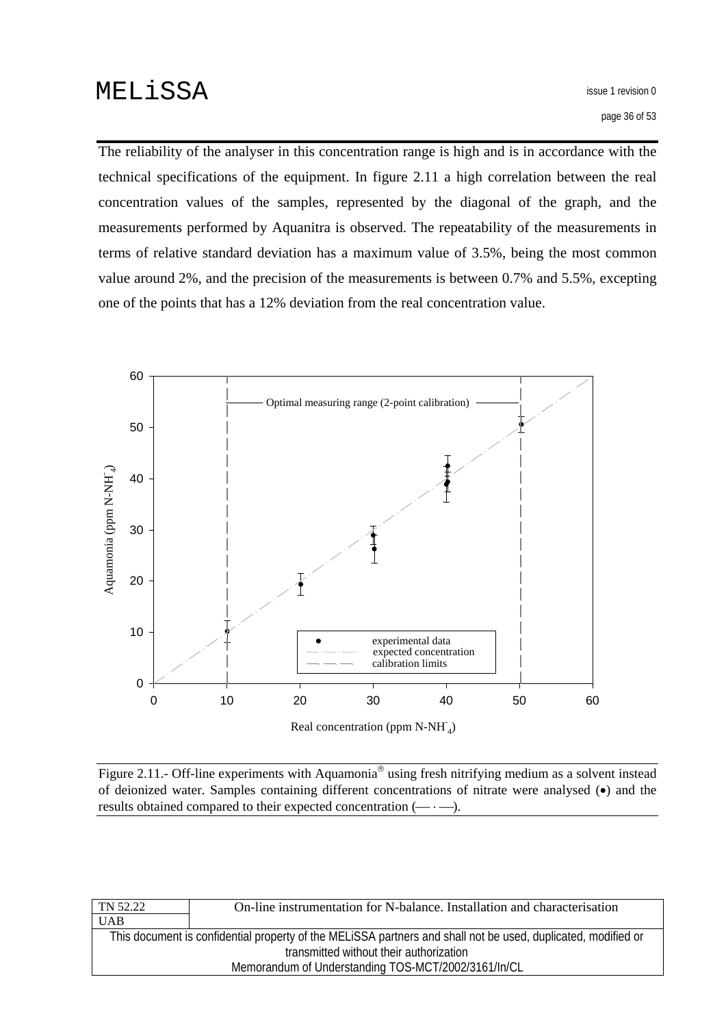The reliability of the analyser in this concentration range is high and is in accordance with the technical specifications of the equipment. In figure 2.11 a high correlation between the real concentration values of the samples, represented by the diagonal of the graph, and the measurements performed by Aquanitra is observed. The repeatability of the measurements in terms of relative standard deviation has a maximum value of 3.5%, being the most common value around 2%, and the precision of the measurements is between 0.7% and 5.5%, excepting one of the points that has a 12% deviation from the real concentration value.



Figure 2.11.- Off-line experiments with Aquamonia<sup>®</sup> using fresh nitrifying medium as a solvent instead of deionized water. Samples containing different concentrations of nitrate were analysed (•) and the results obtained compared to their expected concentration  $(- \cdot -)$ .

| TN 52.22                                                                                                      | On-line instrumentation for N-balance. Installation and characterisation |
|---------------------------------------------------------------------------------------------------------------|--------------------------------------------------------------------------|
| UAB                                                                                                           |                                                                          |
| This document is confidential property of the MELISSA partners and shall not be used, duplicated, modified or |                                                                          |
| transmitted without their authorization                                                                       |                                                                          |
| Memorandum of Understanding TOS-MCT/2002/3161/In/CL                                                           |                                                                          |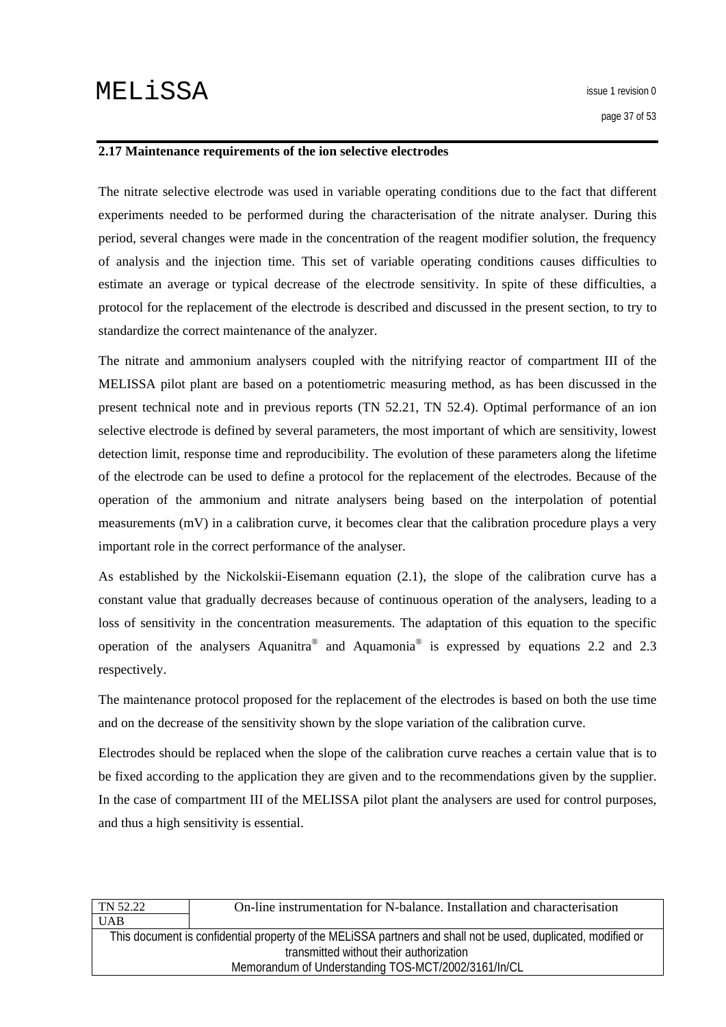#### <span id="page-36-0"></span>**2.17 Maintenance requirements of the ion selective electrodes**

The nitrate selective electrode was used in variable operating conditions due to the fact that different experiments needed to be performed during the characterisation of the nitrate analyser. During this period, several changes were made in the concentration of the reagent modifier solution, the frequency of analysis and the injection time. This set of variable operating conditions causes difficulties to estimate an average or typical decrease of the electrode sensitivity. In spite of these difficulties, a protocol for the replacement of the electrode is described and discussed in the present section, to try to standardize the correct maintenance of the analyzer.

The nitrate and ammonium analysers coupled with the nitrifying reactor of compartment III of the MELISSA pilot plant are based on a potentiometric measuring method, as has been discussed in the present technical note and in previous reports (TN 52.21, TN 52.4). Optimal performance of an ion selective electrode is defined by several parameters, the most important of which are sensitivity, lowest detection limit, response time and reproducibility. The evolution of these parameters along the lifetime of the electrode can be used to define a protocol for the replacement of the electrodes. Because of the operation of the ammonium and nitrate analysers being based on the interpolation of potential measurements (mV) in a calibration curve, it becomes clear that the calibration procedure plays a very important role in the correct performance of the analyser.

As established by the Nickolskii-Eisemann equation (2.1), the slope of the calibration curve has a constant value that gradually decreases because of continuous operation of the analysers, leading to a loss of sensitivity in the concentration measurements. The adaptation of this equation to the specific operation of the analysers Aquanitra<sup>®</sup> and Aquamonia<sup>®</sup> is expressed by equations 2.2 and 2.3 respectively.

The maintenance protocol proposed for the replacement of the electrodes is based on both the use time and on the decrease of the sensitivity shown by the slope variation of the calibration curve.

Electrodes should be replaced when the slope of the calibration curve reaches a certain value that is to be fixed according to the application they are given and to the recommendations given by the supplier. In the case of compartment III of the MELISSA pilot plant the analysers are used for control purposes, and thus a high sensitivity is essential.

| On-line instrumentation for N-balance. Installation and characterisation                                      |  |
|---------------------------------------------------------------------------------------------------------------|--|
|                                                                                                               |  |
| This document is confidential property of the MELISSA partners and shall not be used, duplicated, modified or |  |
| transmitted without their authorization                                                                       |  |
| Memorandum of Understanding TOS-MCT/2002/3161/In/CL                                                           |  |
|                                                                                                               |  |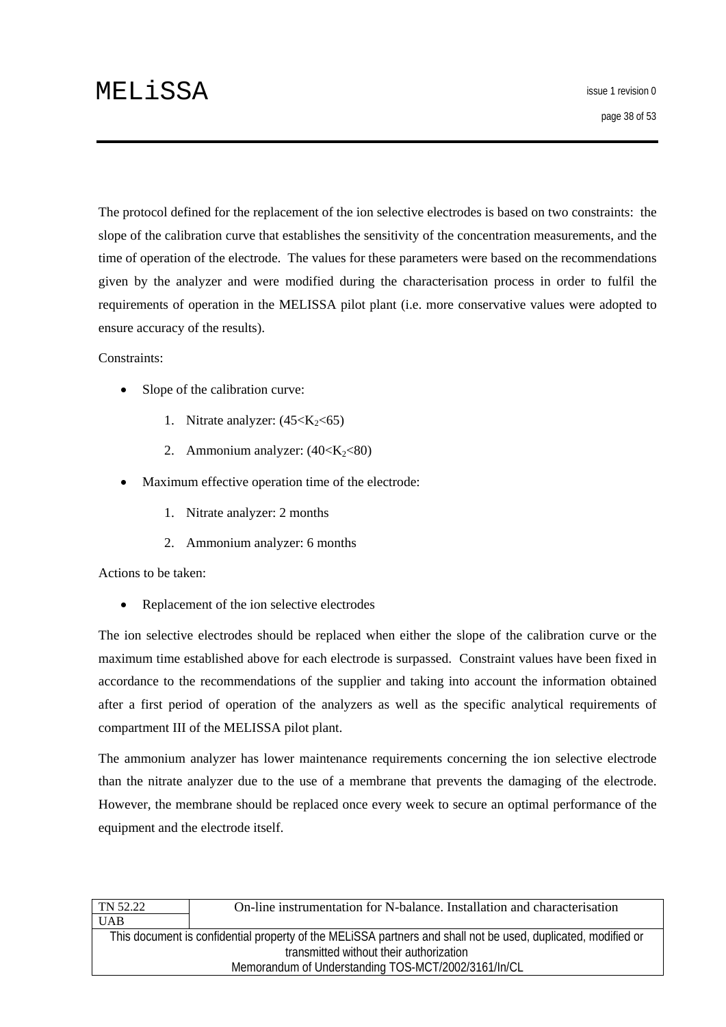The protocol defined for the replacement of the ion selective electrodes is based on two constraints: the slope of the calibration curve that establishes the sensitivity of the concentration measurements, and the time of operation of the electrode. The values for these parameters were based on the recommendations given by the analyzer and were modified during the characterisation process in order to fulfil the requirements of operation in the MELISSA pilot plant (i.e. more conservative values were adopted to ensure accuracy of the results).

#### Constraints:

- Slope of the calibration curve:
	- 1. Nitrate analyzer:  $(45< K<sub>2</sub>< 65)$
	- 2. Ammonium analyzer:  $(40< K<sub>2</sub>< 80)$
- Maximum effective operation time of the electrode:
	- 1. Nitrate analyzer: 2 months
	- 2. Ammonium analyzer: 6 months

Actions to be taken:

• Replacement of the ion selective electrodes

The ion selective electrodes should be replaced when either the slope of the calibration curve or the maximum time established above for each electrode is surpassed. Constraint values have been fixed in accordance to the recommendations of the supplier and taking into account the information obtained after a first period of operation of the analyzers as well as the specific analytical requirements of compartment III of the MELISSA pilot plant.

The ammonium analyzer has lower maintenance requirements concerning the ion selective electrode than the nitrate analyzer due to the use of a membrane that prevents the damaging of the electrode. However, the membrane should be replaced once every week to secure an optimal performance of the equipment and the electrode itself.

| TN 52.22   | On-line instrumentation for N-balance. Installation and characterisation                                      |
|------------|---------------------------------------------------------------------------------------------------------------|
| <b>UAB</b> |                                                                                                               |
|            | This document is confidential property of the MELISSA partners and shall not be used, duplicated, modified or |
|            | transmitted without their authorization                                                                       |
|            | Memorandum of Understanding TOS-MCT/2002/3161/In/CL                                                           |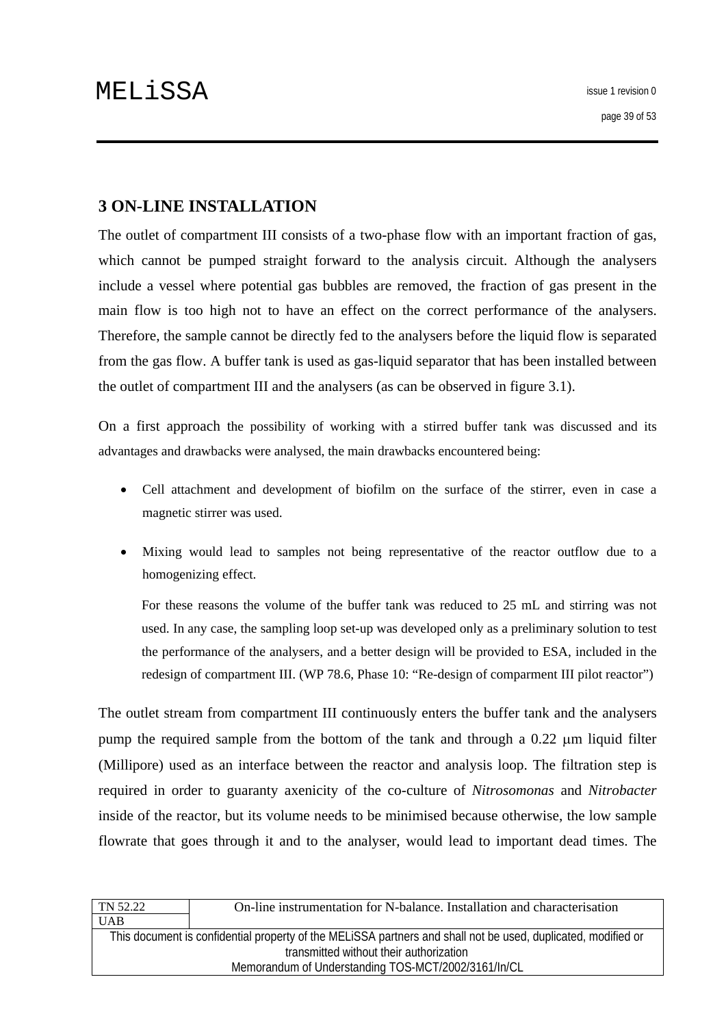# <span id="page-38-0"></span>**3 ON-LINE INSTALLATION**

The outlet of compartment III consists of a two-phase flow with an important fraction of gas, which cannot be pumped straight forward to the analysis circuit. Although the analysers include a vessel where potential gas bubbles are removed, the fraction of gas present in the main flow is too high not to have an effect on the correct performance of the analysers. Therefore, the sample cannot be directly fed to the analysers before the liquid flow is separated from the gas flow. A buffer tank is used as gas-liquid separator that has been installed between the outlet of compartment III and the analysers (as can be observed in figure 3.1).

On a first approach the possibility of working with a stirred buffer tank was discussed and its advantages and drawbacks were analysed, the main drawbacks encountered being:

- Cell attachment and development of biofilm on the surface of the stirrer, even in case a magnetic stirrer was used.
- Mixing would lead to samples not being representative of the reactor outflow due to a homogenizing effect.

For these reasons the volume of the buffer tank was reduced to 25 mL and stirring was not used. In any case, the sampling loop set-up was developed only as a preliminary solution to test the performance of the analysers, and a better design will be provided to ESA, included in the redesign of compartment III. (WP 78.6, Phase 10: "Re-design of comparment III pilot reactor")

The outlet stream from compartment III continuously enters the buffer tank and the analysers pump the required sample from the bottom of the tank and through a 0.22 μm liquid filter (Millipore) used as an interface between the reactor and analysis loop. The filtration step is required in order to guaranty axenicity of the co-culture of *Nitrosomonas* and *Nitrobacter* inside of the reactor, but its volume needs to be minimised because otherwise, the low sample flowrate that goes through it and to the analyser, would lead to important dead times. The

| TN 52.22<br>On-line instrumentation for N-balance. Installation and characterisation                          |  |  |  |
|---------------------------------------------------------------------------------------------------------------|--|--|--|
| <b>UAB</b>                                                                                                    |  |  |  |
| This document is confidential property of the MELISSA partners and shall not be used, duplicated, modified or |  |  |  |
| transmitted without their authorization                                                                       |  |  |  |
| Memorandum of Understanding TOS-MCT/2002/3161/In/CL                                                           |  |  |  |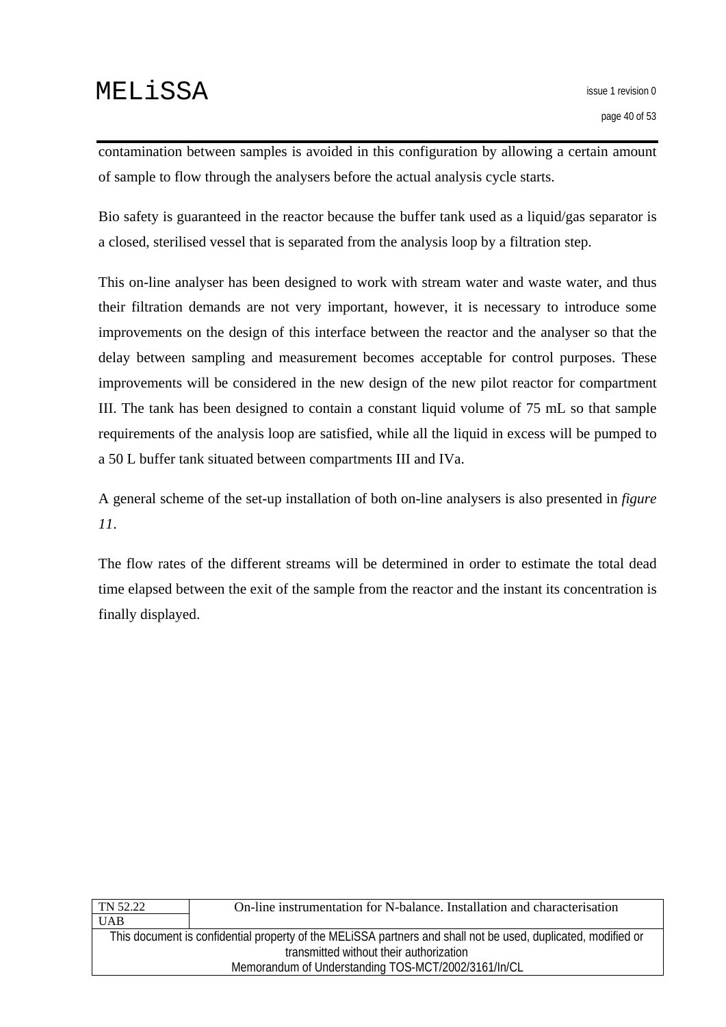contamination between samples is avoided in this configuration by allowing a certain amount of sample to flow through the analysers before the actual analysis cycle starts.

Bio safety is guaranteed in the reactor because the buffer tank used as a liquid/gas separator is a closed, sterilised vessel that is separated from the analysis loop by a filtration step.

This on-line analyser has been designed to work with stream water and waste water, and thus their filtration demands are not very important, however, it is necessary to introduce some improvements on the design of this interface between the reactor and the analyser so that the delay between sampling and measurement becomes acceptable for control purposes. These improvements will be considered in the new design of the new pilot reactor for compartment III. The tank has been designed to contain a constant liquid volume of 75 mL so that sample requirements of the analysis loop are satisfied, while all the liquid in excess will be pumped to a 50 L buffer tank situated between compartments III and IVa.

A general scheme of the set-up installation of both on-line analysers is also presented in *figure 11*.

The flow rates of the different streams will be determined in order to estimate the total dead time elapsed between the exit of the sample from the reactor and the instant its concentration is finally displayed.

| On-line instrumentation for N-balance. Installation and characterisation                                      |  |  |  |
|---------------------------------------------------------------------------------------------------------------|--|--|--|
|                                                                                                               |  |  |  |
| This document is confidential property of the MELISSA partners and shall not be used, duplicated, modified or |  |  |  |
| transmitted without their authorization                                                                       |  |  |  |
| Memorandum of Understanding TOS-MCT/2002/3161/In/CL                                                           |  |  |  |
|                                                                                                               |  |  |  |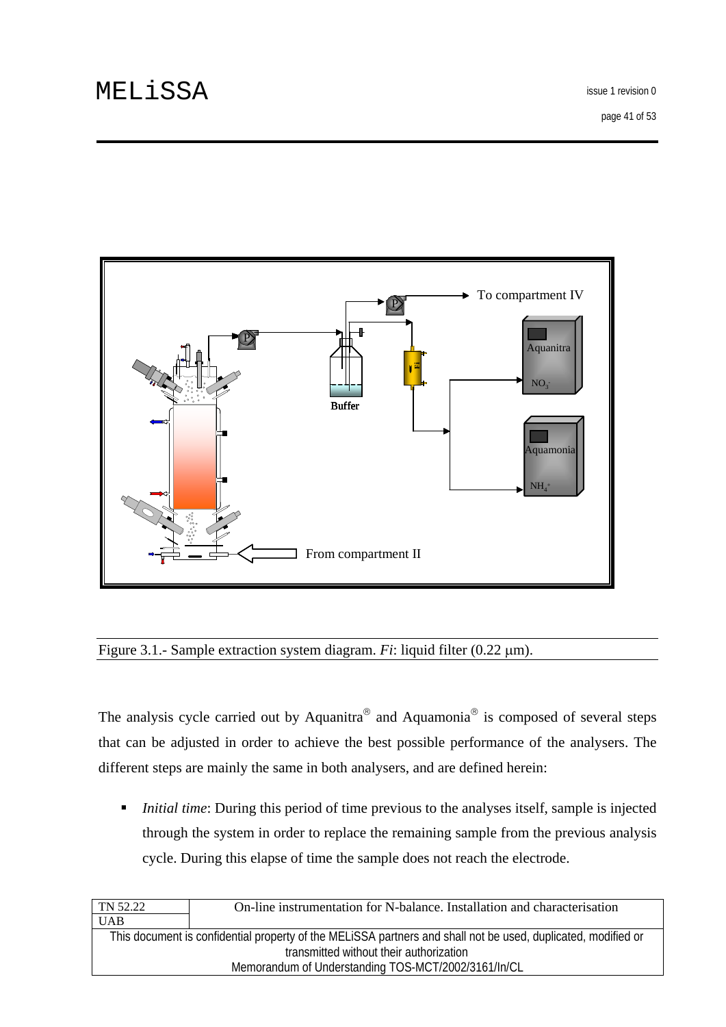

### Figure 3.1.- Sample extraction system diagram. *Fi*: liquid filter (0.22 μm).

The analysis cycle carried out by Aquanitra<sup>®</sup> and Aquamonia<sup>®</sup> is composed of several steps that can be adjusted in order to achieve the best possible performance of the analysers. The different steps are mainly the same in both analysers, and are defined herein:

■ *Initial time*: During this period of time previous to the analyses itself, sample is injected through the system in order to replace the remaining sample from the previous analysis cycle. During this elapse of time the sample does not reach the electrode.

| TN 52.22                                            | On-line instrumentation for N-balance. Installation and characterisation                                      |  |  |
|-----------------------------------------------------|---------------------------------------------------------------------------------------------------------------|--|--|
| <b>UAB</b>                                          |                                                                                                               |  |  |
|                                                     | This document is confidential property of the MELISSA partners and shall not be used, duplicated, modified or |  |  |
| transmitted without their authorization             |                                                                                                               |  |  |
| Memorandum of Understanding TOS-MCT/2002/3161/In/CL |                                                                                                               |  |  |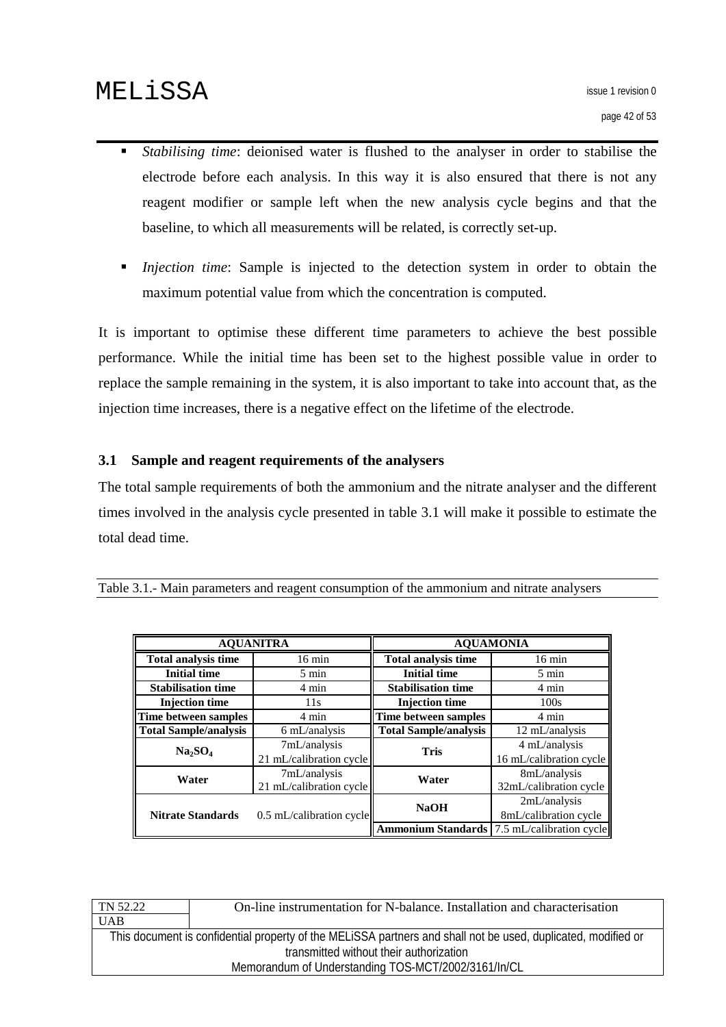- <span id="page-41-0"></span> *Stabilising time*: deionised water is flushed to the analyser in order to stabilise the electrode before each analysis. In this way it is also ensured that there is not any reagent modifier or sample left when the new analysis cycle begins and that the baseline, to which all measurements will be related, is correctly set-up.
- *Injection time*: Sample is injected to the detection system in order to obtain the maximum potential value from which the concentration is computed.

It is important to optimise these different time parameters to achieve the best possible performance. While the initial time has been set to the highest possible value in order to replace the sample remaining in the system, it is also important to take into account that, as the injection time increases, there is a negative effect on the lifetime of the electrode.

### **3.1 Sample and reagent requirements of the analysers**

The total sample requirements of both the ammonium and the nitrate analyser and the different times involved in the analysis cycle presented in table 3.1 will make it possible to estimate the total dead time.

| <b>AQUANITRA</b>                |                            | <b>AQUAMONIA</b>             |                          |  |
|---------------------------------|----------------------------|------------------------------|--------------------------|--|
| <b>Total analysis time</b>      | $16 \text{ min}$           | <b>Total analysis time</b>   | $16 \text{ min}$         |  |
| <b>Initial time</b>             | $5 \text{ min}$            | <b>Initial time</b>          | $5 \text{ min}$          |  |
| <b>Stabilisation time</b>       | 4 min                      | <b>Stabilisation time</b>    | 4 min                    |  |
| <b>Injection time</b>           | 11s                        | <b>Injection time</b>        | 100s                     |  |
| Time between samples            | 4 min                      | Time between samples         | 4 min                    |  |
| <b>Total Sample/analysis</b>    | 6 mL/analysis              | <b>Total Sample/analysis</b> | 12 mL/analysis           |  |
| Na <sub>2</sub> SO <sub>4</sub> | 7mL/analysis               | <b>Tris</b>                  | 4 mL/analysis            |  |
|                                 | 21 mL/calibration cycle    |                              | 16 mL/calibration cycle  |  |
| Water                           | 7mL/analysis               | Water                        | 8mL/analysis             |  |
|                                 | 21 mL/calibration cycle    |                              | 32mL/calibration cycle   |  |
|                                 | $0.5$ mL/calibration cycle | <b>NaOH</b>                  | 2mL/analysis             |  |
| <b>Nitrate Standards</b>        |                            |                              | 8mL/calibration cycle    |  |
|                                 |                            | <b>Ammonium Standards</b>    | 7.5 mL/calibration cycle |  |

|  |  | Table 3.1.- Main parameters and reagent consumption of the ammonium and nitrate analysers |
|--|--|-------------------------------------------------------------------------------------------|
|  |  |                                                                                           |

| On-line instrumentation for N-balance. Installation and characterisation                                      |  |  |  |
|---------------------------------------------------------------------------------------------------------------|--|--|--|
|                                                                                                               |  |  |  |
| This document is confidential property of the MELISSA partners and shall not be used, duplicated, modified or |  |  |  |
| transmitted without their authorization                                                                       |  |  |  |
| Memorandum of Understanding TOS-MCT/2002/3161/In/CL                                                           |  |  |  |
|                                                                                                               |  |  |  |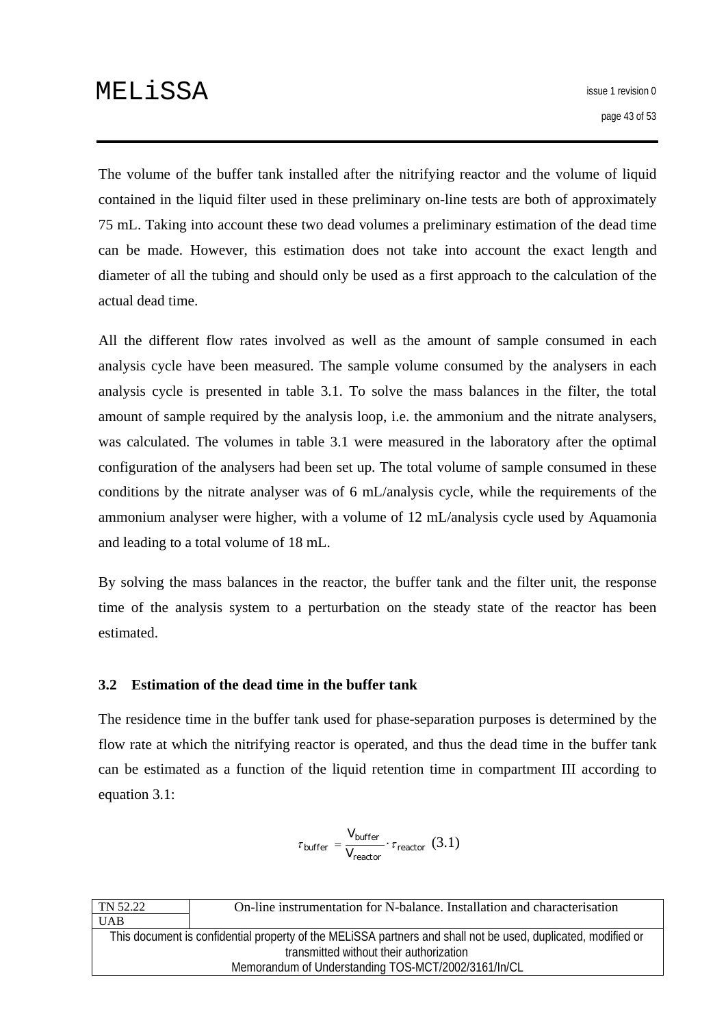<span id="page-42-0"></span>The volume of the buffer tank installed after the nitrifying reactor and the volume of liquid contained in the liquid filter used in these preliminary on-line tests are both of approximately 75 mL. Taking into account these two dead volumes a preliminary estimation of the dead time can be made. However, this estimation does not take into account the exact length and diameter of all the tubing and should only be used as a first approach to the calculation of the actual dead time.

All the different flow rates involved as well as the amount of sample consumed in each analysis cycle have been measured. The sample volume consumed by the analysers in each analysis cycle is presented in table 3.1. To solve the mass balances in the filter, the total amount of sample required by the analysis loop, i.e. the ammonium and the nitrate analysers, was calculated. The volumes in table 3.1 were measured in the laboratory after the optimal configuration of the analysers had been set up. The total volume of sample consumed in these conditions by the nitrate analyser was of 6 mL/analysis cycle, while the requirements of the ammonium analyser were higher, with a volume of 12 mL/analysis cycle used by Aquamonia and leading to a total volume of 18 mL.

By solving the mass balances in the reactor, the buffer tank and the filter unit, the response time of the analysis system to a perturbation on the steady state of the reactor has been estimated.

### **3.2 Estimation of the dead time in the buffer tank**

The residence time in the buffer tank used for phase-separation purposes is determined by the flow rate at which the nitrifying reactor is operated, and thus the dead time in the buffer tank can be estimated as a function of the liquid retention time in compartment III according to equation 3.1:

$$
\tau_{buffer} = \frac{V_{buffer}}{V_{reactor}} \cdot \tau_{reactor} \ (3.1)
$$

| TN 52.22                                                                                                      | On-line instrumentation for N-balance. Installation and characterisation |  |  |
|---------------------------------------------------------------------------------------------------------------|--------------------------------------------------------------------------|--|--|
| <b>UAB</b>                                                                                                    |                                                                          |  |  |
| This document is confidential property of the MELISSA partners and shall not be used, duplicated, modified or |                                                                          |  |  |
| transmitted without their authorization                                                                       |                                                                          |  |  |
| Memorandum of Understanding TOS-MCT/2002/3161/In/CL                                                           |                                                                          |  |  |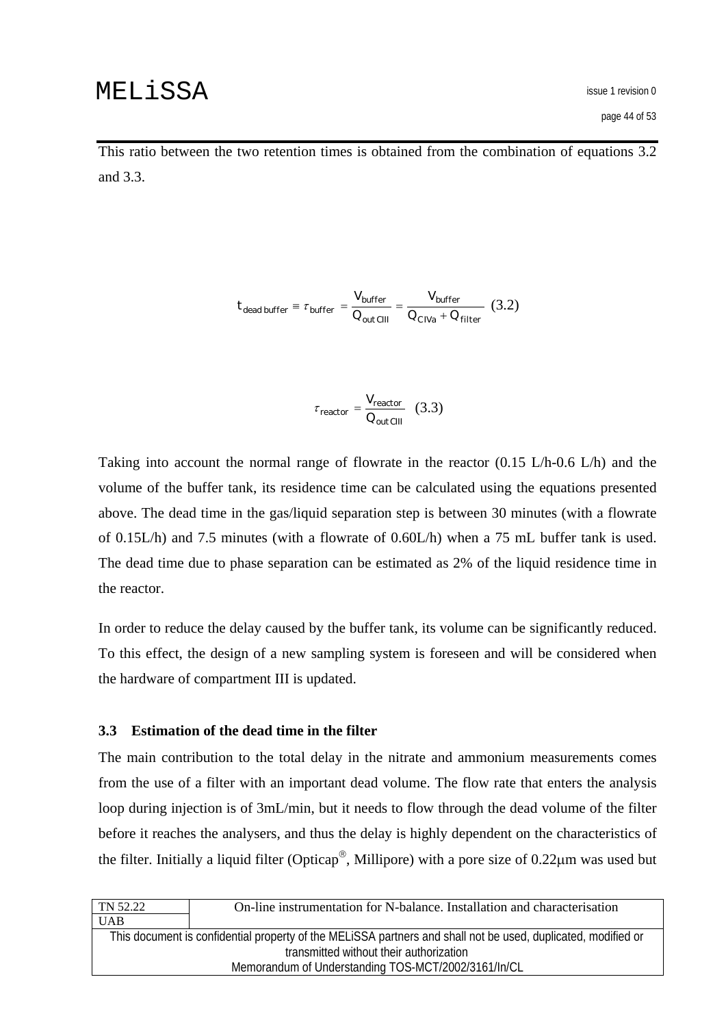<span id="page-43-0"></span>This ratio between the two retention times is obtained from the combination of equations 3.2 and 3.3.

$$
t_{dead buffer} \equiv \tau_{buffer} = \frac{V_{buffer}}{Q_{out\,CIII}} = \frac{V_{buffer}}{Q_{C\,Na} + Q_{filter}} \tag{3.2}
$$

$$
\tau_{reactor} = \frac{V_{reactor}}{Q_{out\,CIII}} \quad (3.3)
$$

Taking into account the normal range of flowrate in the reactor (0.15 L/h-0.6 L/h) and the volume of the buffer tank, its residence time can be calculated using the equations presented above. The dead time in the gas/liquid separation step is between 30 minutes (with a flowrate of 0.15L/h) and 7.5 minutes (with a flowrate of 0.60L/h) when a 75 mL buffer tank is used. The dead time due to phase separation can be estimated as 2% of the liquid residence time in the reactor.

In order to reduce the delay caused by the buffer tank, its volume can be significantly reduced. To this effect, the design of a new sampling system is foreseen and will be considered when the hardware of compartment III is updated.

#### **3.3 Estimation of the dead time in the filter**

The main contribution to the total delay in the nitrate and ammonium measurements comes from the use of a filter with an important dead volume. The flow rate that enters the analysis loop during injection is of 3mL/min, but it needs to flow through the dead volume of the filter before it reaches the analysers, and thus the delay is highly dependent on the characteristics of the filter. Initially a liquid filter (Opticap®, Millipore) with a pore size of 0.22μm was used but

| TN 52.22                                                                                                      | On-line instrumentation for N-balance. Installation and characterisation |  |  |
|---------------------------------------------------------------------------------------------------------------|--------------------------------------------------------------------------|--|--|
| <b>UAB</b>                                                                                                    |                                                                          |  |  |
| This document is confidential property of the MELISSA partners and shall not be used, duplicated, modified or |                                                                          |  |  |
| transmitted without their authorization                                                                       |                                                                          |  |  |
| Memorandum of Understanding TOS-MCT/2002/3161/In/CL                                                           |                                                                          |  |  |
|                                                                                                               |                                                                          |  |  |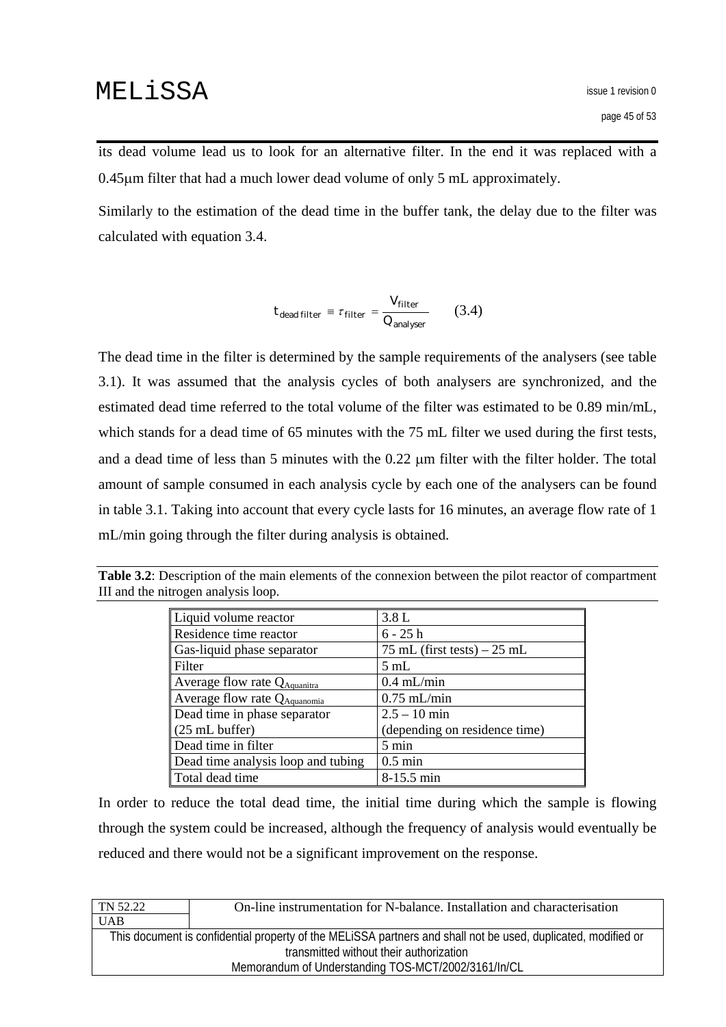its dead volume lead us to look for an alternative filter. In the end it was replaced with a 0.45μm filter that had a much lower dead volume of only 5 mL approximately.

Similarly to the estimation of the dead time in the buffer tank, the delay due to the filter was calculated with equation 3.4.

$$
t_{dead\ filter} \equiv \tau_{filter} = \frac{V_{filter}}{Q_{analyser}} \qquad (3.4)
$$

The dead time in the filter is determined by the sample requirements of the analysers (see table 3.1). It was assumed that the analysis cycles of both analysers are synchronized, and the estimated dead time referred to the total volume of the filter was estimated to be 0.89 min/mL, which stands for a dead time of 65 minutes with the 75 mL filter we used during the first tests, and a dead time of less than 5 minutes with the 0.22 μm filter with the filter holder. The total amount of sample consumed in each analysis cycle by each one of the analysers can be found in table 3.1. Taking into account that every cycle lasts for 16 minutes, an average flow rate of 1 mL/min going through the filter during analysis is obtained.

| Liquid volume reactor                    | 3.8L                          |
|------------------------------------------|-------------------------------|
| Residence time reactor                   | $6 - 25 h$                    |
| Gas-liquid phase separator               | 75 mL (first tests) $-25$ mL  |
| Filter                                   | $5 \text{ mL}$                |
| Average flow rate $Q_{\text{Aquantira}}$ | $0.4$ mL/min                  |
| Average flow rate QAquanomia             | $0.75$ mL/min                 |
| Dead time in phase separator             | $2.5 - 10$ min                |
| $(25 \text{ mL buffer})$                 | (depending on residence time) |
| Dead time in filter                      | $5 \text{ min}$               |
| Dead time analysis loop and tubing       | $0.5 \text{ min}$             |
| Total dead time                          | 8-15.5 min                    |

**Table 3.2**: Description of the main elements of the connexion between the pilot reactor of compartment III and the nitrogen analysis loop.

In order to reduce the total dead time, the initial time during which the sample is flowing through the system could be increased, although the frequency of analysis would eventually be reduced and there would not be a significant improvement on the response.

| <b>UAB</b>                                                                                                    |  |  |  |
|---------------------------------------------------------------------------------------------------------------|--|--|--|
|                                                                                                               |  |  |  |
| This document is confidential property of the MELISSA partners and shall not be used, duplicated, modified or |  |  |  |
| transmitted without their authorization                                                                       |  |  |  |
| Memorandum of Understanding TOS-MCT/2002/3161/In/CL                                                           |  |  |  |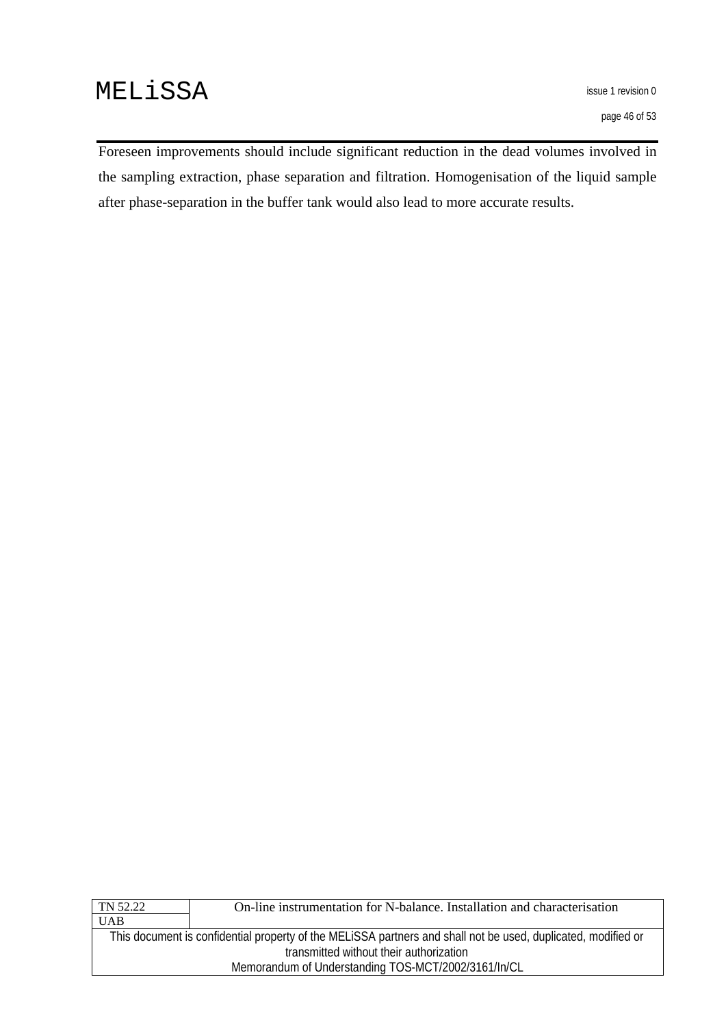Foreseen improvements should include significant reduction in the dead volumes involved in the sampling extraction, phase separation and filtration. Homogenisation of the liquid sample after phase-separation in the buffer tank would also lead to more accurate results.

| TN 52.22                                                                                                      | On-line instrumentation for N-balance. Installation and characterisation |  |  |
|---------------------------------------------------------------------------------------------------------------|--------------------------------------------------------------------------|--|--|
| <b>UAB</b>                                                                                                    |                                                                          |  |  |
| This document is confidential property of the MELISSA partners and shall not be used, duplicated, modified or |                                                                          |  |  |
| transmitted without their authorization                                                                       |                                                                          |  |  |
| Memorandum of Understanding TOS-MCT/2002/3161/In/CL                                                           |                                                                          |  |  |
|                                                                                                               |                                                                          |  |  |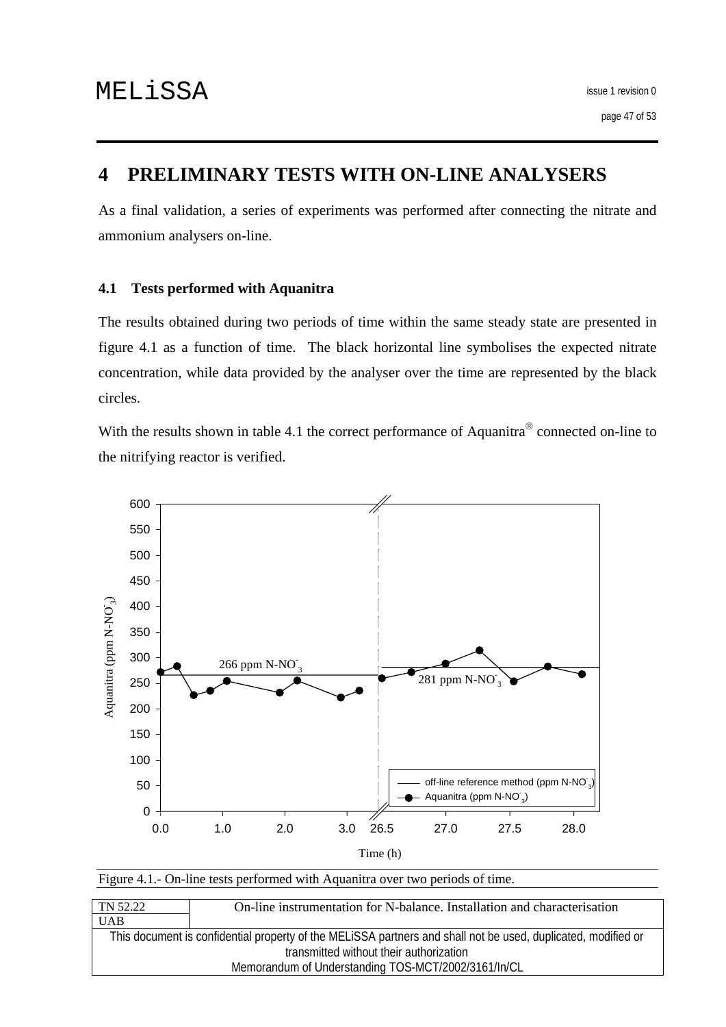# <span id="page-46-0"></span>**4 PRELIMINARY TESTS WITH ON-LINE ANALYSERS**

As a final validation, a series of experiments was performed after connecting the nitrate and ammonium analysers on-line.

### **4.1 Tests performed with Aquanitra**

The results obtained during two periods of time within the same steady state are presented in figure 4.1 as a function of time. The black horizontal line symbolises the expected nitrate concentration, while data provided by the analyser over the time are represented by the black circles.

With the results shown in table 4.1 the correct performance of Aquanitra<sup>®</sup> connected on-line to the nitrifying reactor is verified.



| Figure 4.1.- On-line tests performed with Aquanitra over two periods of time. |  |  |
|-------------------------------------------------------------------------------|--|--|
|-------------------------------------------------------------------------------|--|--|

| TN 52.22                                                                                                      | On-line instrumentation for N-balance. Installation and characterisation |
|---------------------------------------------------------------------------------------------------------------|--------------------------------------------------------------------------|
| <b>UAB</b>                                                                                                    |                                                                          |
| This document is confidential property of the MELISSA partners and shall not be used, duplicated, modified or |                                                                          |
| transmitted without their authorization                                                                       |                                                                          |
| Memorandum of Understanding TOS-MCT/2002/3161/In/CL                                                           |                                                                          |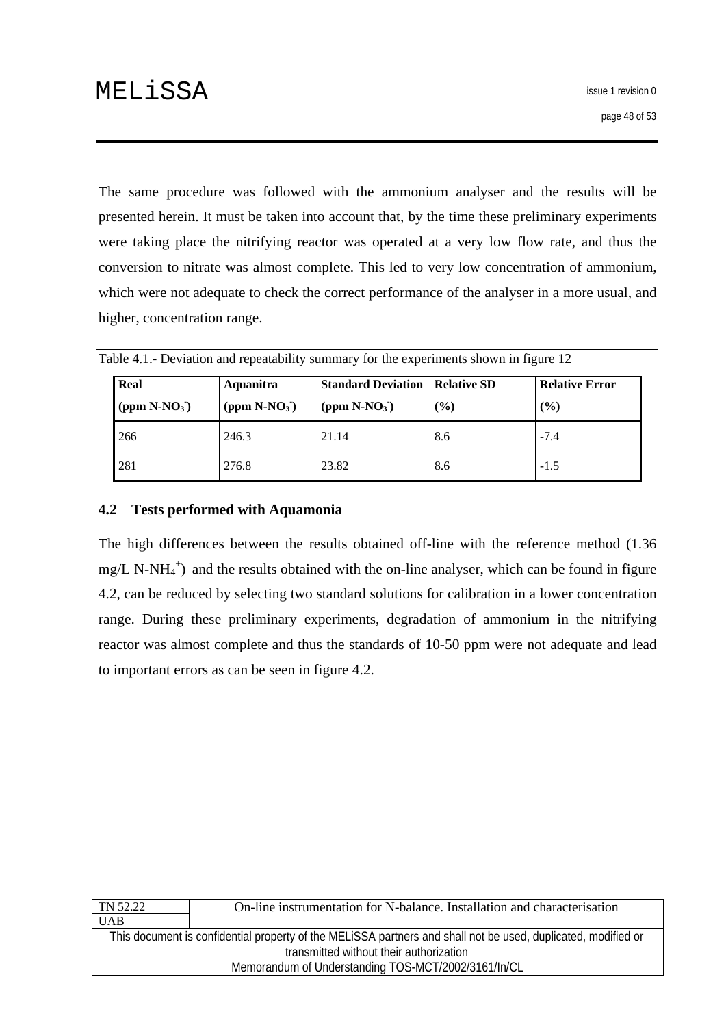<span id="page-47-0"></span>The same procedure was followed with the ammonium analyser and the results will be presented herein. It must be taken into account that, by the time these preliminary experiments were taking place the nitrifying reactor was operated at a very low flow rate, and thus the conversion to nitrate was almost complete. This led to very low concentration of ammonium, which were not adequate to check the correct performance of the analyser in a more usual, and higher, concentration range.

| Real            | Aquanitra       | <b>Standard Deviation   Relative SD</b> |        | <b>Relative Error</b> |
|-----------------|-----------------|-----------------------------------------|--------|-----------------------|
| (ppm $N-NO_3$ ) | (ppm $N-NO_3$ ) | (ppm $N-NO_3$ )                         | $($ %) | $($ %)                |
| 266             | 246.3           | 21.14                                   | 8.6    | $-7.4$                |
| 281             | 276.8           | 23.82                                   | 8.6    | $-1.5$                |

Table 4.1.- Deviation and repeatability summary for the experiments shown in figure 12

### **4.2 Tests performed with Aquamonia**

The high differences between the results obtained off-line with the reference method (1.36  $mg/L$  N-NH<sub>4</sub><sup>+</sup>) and the results obtained with the on-line analyser, which can be found in figure 4.2, can be reduced by selecting two standard solutions for calibration in a lower concentration range. During these preliminary experiments, degradation of ammonium in the nitrifying reactor was almost complete and thus the standards of 10-50 ppm were not adequate and lead to important errors as can be seen in figure 4.2.

| TN 52.22                                                                                                      | On-line instrumentation for N-balance. Installation and characterisation |
|---------------------------------------------------------------------------------------------------------------|--------------------------------------------------------------------------|
| <b>UAB</b>                                                                                                    |                                                                          |
| This document is confidential property of the MELISSA partners and shall not be used, duplicated, modified or |                                                                          |
| transmitted without their authorization                                                                       |                                                                          |
| Memorandum of Understanding TOS-MCT/2002/3161/In/CL                                                           |                                                                          |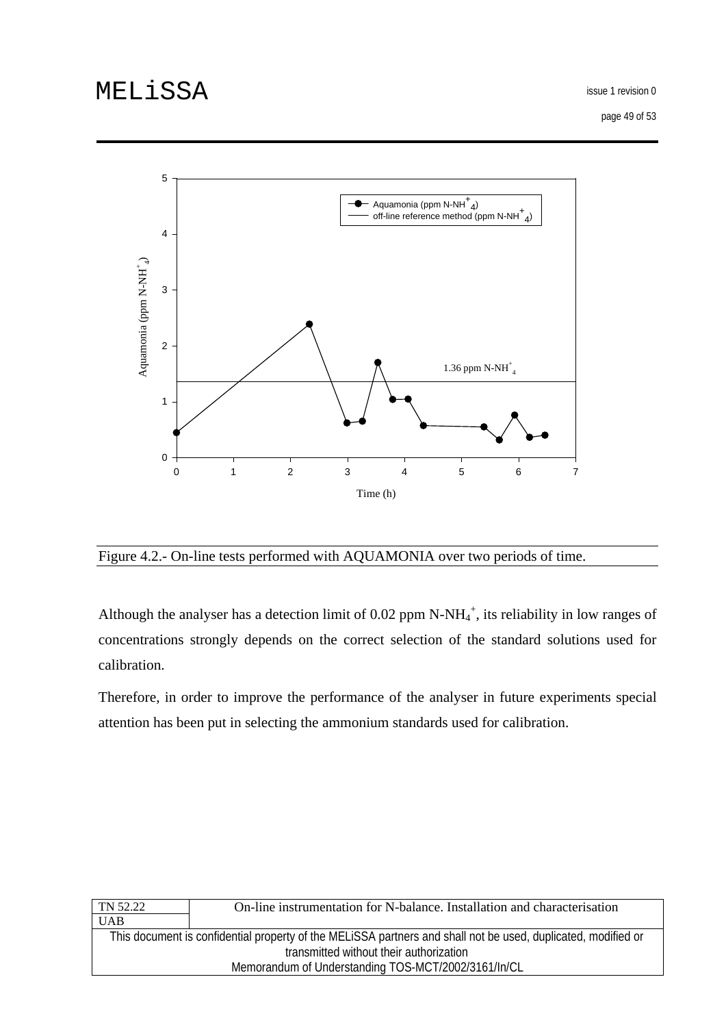issue 1 revision 0

page 49 of 53



Figure 4.2.- On-line tests performed with AQUAMONIA over two periods of time.

Although the analyser has a detection limit of 0.02 ppm N-NH $_4^+$ , its reliability in low ranges of concentrations strongly depends on the correct selection of the standard solutions used for calibration.

Therefore, in order to improve the performance of the analyser in future experiments special attention has been put in selecting the ammonium standards used for calibration.

| On-line instrumentation for N-balance. Installation and characterisation                                      |  |
|---------------------------------------------------------------------------------------------------------------|--|
|                                                                                                               |  |
| This document is confidential property of the MELISSA partners and shall not be used, duplicated, modified or |  |
| transmitted without their authorization                                                                       |  |
| Memorandum of Understanding TOS-MCT/2002/3161/In/CL                                                           |  |
|                                                                                                               |  |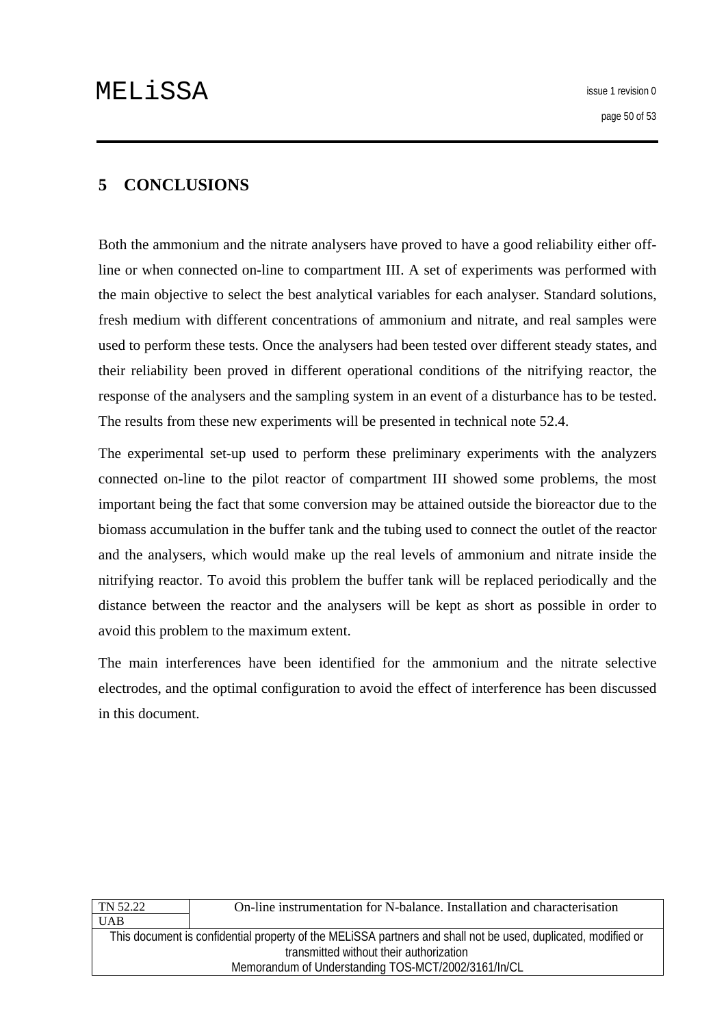# <span id="page-49-0"></span>**5 CONCLUSIONS**

Both the ammonium and the nitrate analysers have proved to have a good reliability either offline or when connected on-line to compartment III. A set of experiments was performed with the main objective to select the best analytical variables for each analyser. Standard solutions, fresh medium with different concentrations of ammonium and nitrate, and real samples were used to perform these tests. Once the analysers had been tested over different steady states, and their reliability been proved in different operational conditions of the nitrifying reactor, the response of the analysers and the sampling system in an event of a disturbance has to be tested. The results from these new experiments will be presented in technical note 52.4.

The experimental set-up used to perform these preliminary experiments with the analyzers connected on-line to the pilot reactor of compartment III showed some problems, the most important being the fact that some conversion may be attained outside the bioreactor due to the biomass accumulation in the buffer tank and the tubing used to connect the outlet of the reactor and the analysers, which would make up the real levels of ammonium and nitrate inside the nitrifying reactor. To avoid this problem the buffer tank will be replaced periodically and the distance between the reactor and the analysers will be kept as short as possible in order to avoid this problem to the maximum extent.

The main interferences have been identified for the ammonium and the nitrate selective electrodes, and the optimal configuration to avoid the effect of interference has been discussed in this document.

| On-line instrumentation for N-balance. Installation and characterisation                                      |  |
|---------------------------------------------------------------------------------------------------------------|--|
|                                                                                                               |  |
| This document is confidential property of the MELISSA partners and shall not be used, duplicated, modified or |  |
| transmitted without their authorization                                                                       |  |
| Memorandum of Understanding TOS-MCT/2002/3161/In/CL                                                           |  |
|                                                                                                               |  |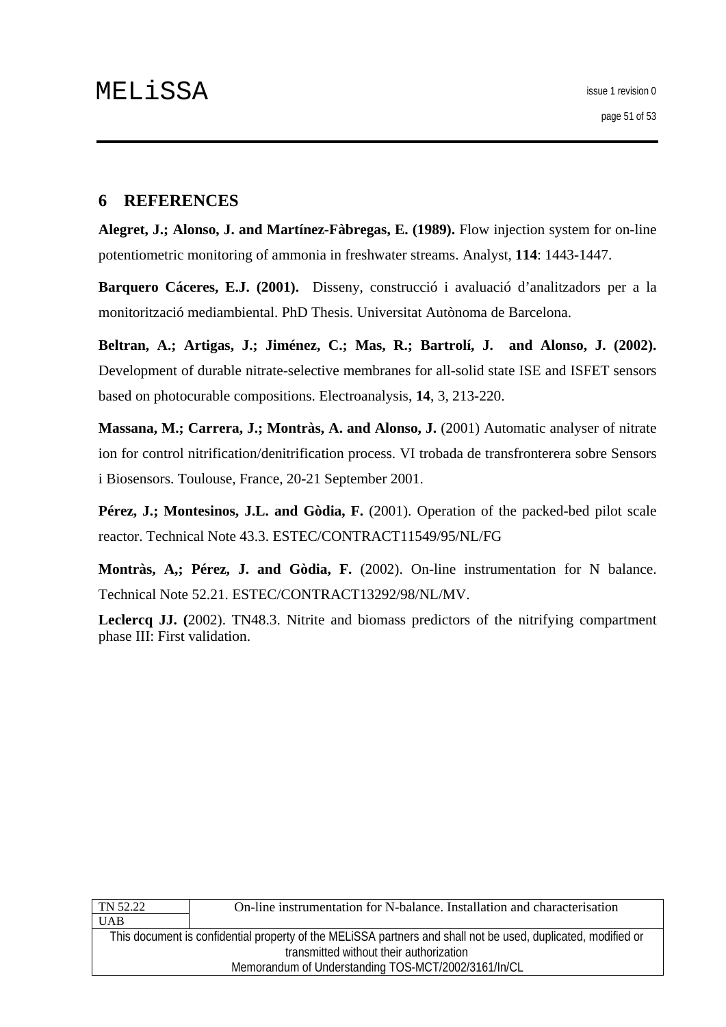## <span id="page-50-0"></span>**6 REFERENCES**

**Alegret, J.; Alonso, J. and Martínez-Fàbregas, E. (1989).** Flow injection system for on-line potentiometric monitoring of ammonia in freshwater streams. Analyst, **114**: 1443-1447.

**Barquero Cáceres, E.J. (2001).** Disseny, construcció i avaluació d'analitzadors per a la monitorització mediambiental. PhD Thesis. Universitat Autònoma de Barcelona.

**Beltran, A.; Artigas, J.; Jiménez, C.; Mas, R.; Bartrolí, J. and Alonso, J. (2002).**  Development of durable nitrate-selective membranes for all-solid state ISE and ISFET sensors based on photocurable compositions. Electroanalysis, **14**, 3, 213-220.

**Massana, M.; Carrera, J.; Montràs, A. and Alonso, J.** (2001) Automatic analyser of nitrate ion for control nitrification/denitrification process. VI trobada de transfronterera sobre Sensors i Biosensors. Toulouse, France, 20-21 September 2001.

Pérez, J.; Montesinos, J.L. and Gòdia, F. (2001). Operation of the packed-bed pilot scale reactor. Technical Note 43.3. ESTEC/CONTRACT11549/95/NL/FG

**Montràs, A,; Pérez, J. and Gòdia, F.** (2002). On-line instrumentation for N balance. Technical Note 52.21. ESTEC/CONTRACT13292/98/NL/MV.

**Leclercq JJ. (**2002). TN48.3. Nitrite and biomass predictors of the nitrifying compartment phase III: First validation.

| TN 52.22                                                                                                      | On-line instrumentation for N-balance. Installation and characterisation |
|---------------------------------------------------------------------------------------------------------------|--------------------------------------------------------------------------|
| <b>UAB</b>                                                                                                    |                                                                          |
| This document is confidential property of the MELISSA partners and shall not be used, duplicated, modified or |                                                                          |
| transmitted without their authorization                                                                       |                                                                          |
| Memorandum of Understanding TOS-MCT/2002/3161/In/CL                                                           |                                                                          |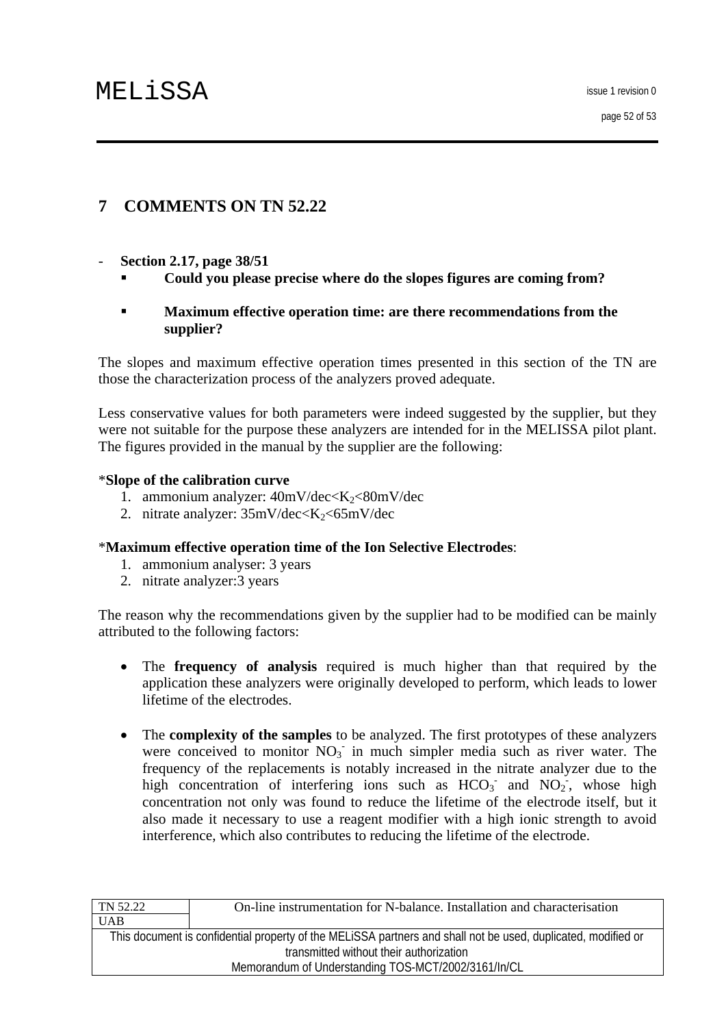# <span id="page-51-0"></span>**7 COMMENTS ON TN 52.22**

- **Section 2.17, page 38/51** 
	- **Could you please precise where do the slopes figures are coming from?**

## **Maximum effective operation time: are there recommendations from the supplier?**

The slopes and maximum effective operation times presented in this section of the TN are those the characterization process of the analyzers proved adequate.

Less conservative values for both parameters were indeed suggested by the supplier, but they were not suitable for the purpose these analyzers are intended for in the MELISSA pilot plant. The figures provided in the manual by the supplier are the following:

# \***Slope of the calibration curve**

- 1. ammonium analyzer:  $40mV/dec < K_2 < 80mV/dec$
- 2. nitrate analyzer:  $35 \text{mV/dec} \leq K_2 \leq 65 \text{mV/dec}$

# \***Maximum effective operation time of the Ion Selective Electrodes**:

- 1. ammonium analyser: 3 years
- 2. nitrate analyzer:3 years

The reason why the recommendations given by the supplier had to be modified can be mainly attributed to the following factors:

- The **frequency of analysis** required is much higher than that required by the application these analyzers were originally developed to perform, which leads to lower lifetime of the electrodes.
- The **complexity of the samples** to be analyzed. The first prototypes of these analyzers were conceived to monitor  $NO<sub>3</sub>$  in much simpler media such as river water. The frequency of the replacements is notably increased in the nitrate analyzer due to the high concentration of interfering ions such as  $HCO<sub>3</sub>$  and  $NO<sub>2</sub>$ , whose high concentration not only was found to reduce the lifetime of the electrode itself, but it also made it necessary to use a reagent modifier with a high ionic strength to avoid interference, which also contributes to reducing the lifetime of the electrode.

| On-line instrumentation for N-balance. Installation and characterisation                                      |  |
|---------------------------------------------------------------------------------------------------------------|--|
|                                                                                                               |  |
| This document is confidential property of the MELISSA partners and shall not be used, duplicated, modified or |  |
| transmitted without their authorization                                                                       |  |
| Memorandum of Understanding TOS-MCT/2002/3161/In/CL                                                           |  |
|                                                                                                               |  |